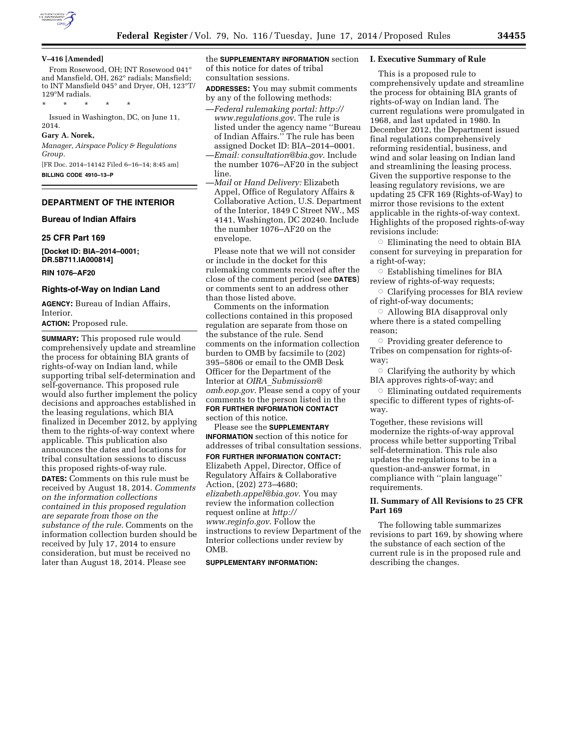

#### **V–416 [Amended]**

From Rosewood, OH; INT Rosewood 041° and Mansfield, OH, 262° radials; Mansfield; to INT Mansfield 045° and Dryer, OH, 123°T/ 129°M radials.

\* \* \* \* \*

Issued in Washington, DC, on June 11, 2014.

#### **Gary A. Norek,**

*Manager, Airspace Policy & Regulations Group.*  [FR Doc. 2014–14142 Filed 6–16–14; 8:45 am]

**BILLING CODE 4910–13–P** 

### **DEPARTMENT OF THE INTERIOR**

**Bureau of Indian Affairs** 

#### **25 CFR Part 169**

**[Docket ID: BIA–2014–0001; DR.5B711.IA000814]** 

#### **RIN 1076–AF20**

### **Rights-of-Way on Indian Land**

**AGENCY:** Bureau of Indian Affairs, Interior.

**ACTION:** Proposed rule.

**SUMMARY:** This proposed rule would comprehensively update and streamline the process for obtaining BIA grants of rights-of-way on Indian land, while supporting tribal self-determination and self-governance. This proposed rule would also further implement the policy decisions and approaches established in the leasing regulations, which BIA finalized in December 2012, by applying them to the rights-of-way context where applicable. This publication also announces the dates and locations for tribal consultation sessions to discuss this proposed rights-of-way rule.

**DATES:** Comments on this rule must be received by August 18, 2014. *Comments on the information collections contained in this proposed regulation are separate from those on the substance of the rule.* Comments on the information collection burden should be received by July 17, 2014 to ensure consideration, but must be received no later than August 18, 2014. Please see

the **SUPPLEMENTARY INFORMATION** section of this notice for dates of tribal consultation sessions.

- **ADDRESSES:** You may submit comments by any of the following methods:
- —*Federal rulemaking portal: [http://](http://www.regulations.gov) [www.regulations.gov](http://www.regulations.gov)*. The rule is listed under the agency name ''Bureau of Indian Affairs.'' The rule has been assigned Docket ID: BIA–2014–0001.
- —*Email: [consultation@bia.gov](mailto:consultation@bia.gov)*. Include the number 1076–AF20 in the subject line.
- —*Mail* or *Hand Delivery:* Elizabeth Appel, Office of Regulatory Affairs & Collaborative Action, U.S. Department of the Interior, 1849 C Street NW., MS 4141, Washington, DC 20240. Include the number 1076–AF20 on the envelope.

Please note that we will not consider or include in the docket for this rulemaking comments received after the close of the comment period (see **DATES**) or comments sent to an address other than those listed above.

Comments on the information collections contained in this proposed regulation are separate from those on the substance of the rule. Send comments on the information collection burden to OMB by facsimile to (202) 395–5806 or email to the OMB Desk Officer for the Department of the Interior at *OIRA*\_*[Submission@](mailto:OIRA_Submission@omb.eop.gov) [omb.eop.gov](mailto:OIRA_Submission@omb.eop.gov)*. Please send a copy of your comments to the person listed in the **FOR FURTHER INFORMATION CONTACT** section of this notice.

Please see the **SUPPLEMENTARY INFORMATION** section of this notice for addresses of tribal consultation sessions.

**FOR FURTHER INFORMATION CONTACT:**  Elizabeth Appel, Director, Office of Regulatory Affairs & Collaborative Action, (202) 273–4680; *[elizabeth.appel@bia.gov](mailto:elizabeth.appel@bia.gov)*. You may review the information collection request online at *[http://](http://www.reginfo.gov) [www.reginfo.gov](http://www.reginfo.gov)*. Follow the instructions to review Department of the Interior collections under review by OMB.

#### **SUPPLEMENTARY INFORMATION:**

#### **I. Executive Summary of Rule**

This is a proposed rule to comprehensively update and streamline the process for obtaining BIA grants of rights-of-way on Indian land. The current regulations were promulgated in 1968, and last updated in 1980. In December 2012, the Department issued final regulations comprehensively reforming residential, business, and wind and solar leasing on Indian land and streamlining the leasing process. Given the supportive response to the leasing regulatory revisions, we are updating 25 CFR 169 (Rights-of-Way) to mirror those revisions to the extent applicable in the rights-of-way context. Highlights of the proposed rights-of-way revisions include:

 $\circ$  Eliminating the need to obtain BIA consent for surveying in preparation for a right-of-way;

 $\circ$  Establishing timelines for BIA review of rights-of-way requests;

 $\circ$  Clarifying processes for BIA review of right-of-way documents;

 $\circ$  Allowing BIA disapproval only where there is a stated compelling reason;

Æ Providing greater deference to Tribes on compensation for rights-ofway;

 $\circ$  Clarifying the authority by which BIA approves rights-of-way; and

 $\circ$  Eliminating outdated requirements specific to different types of rights-ofway.

Together, these revisions will modernize the rights-of-way approval process while better supporting Tribal self-determination. This rule also updates the regulations to be in a question-and-answer format, in compliance with ''plain language'' requirements.

### **II. Summary of All Revisions to 25 CFR Part 169**

The following table summarizes revisions to part 169, by showing where the substance of each section of the current rule is in the proposed rule and describing the changes.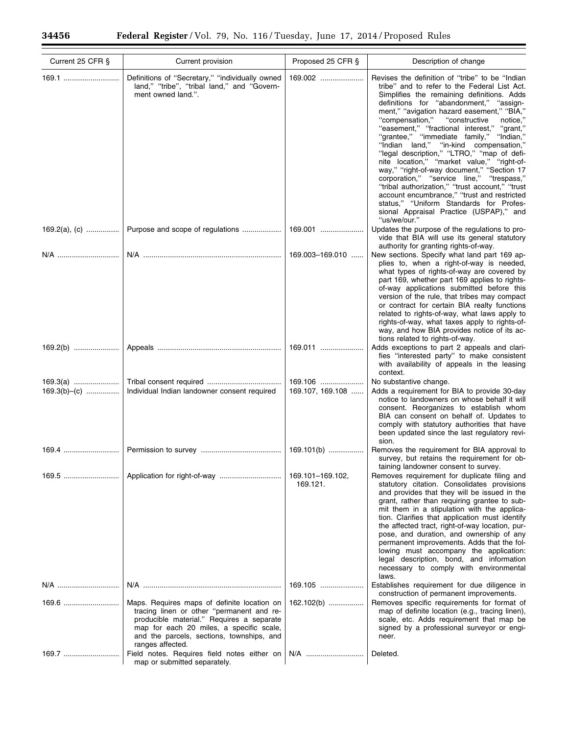$\equiv$ 

 $\equiv$ 

| Current 25 CFR § | Current provision                                                                                                                                                                                                                                  | Proposed 25 CFR §            | Description of change                                                                                                                                                                                                                                                                                                                                                                                                                                                                                                                                                                                                                                                                                                                                                                                                   |
|------------------|----------------------------------------------------------------------------------------------------------------------------------------------------------------------------------------------------------------------------------------------------|------------------------------|-------------------------------------------------------------------------------------------------------------------------------------------------------------------------------------------------------------------------------------------------------------------------------------------------------------------------------------------------------------------------------------------------------------------------------------------------------------------------------------------------------------------------------------------------------------------------------------------------------------------------------------------------------------------------------------------------------------------------------------------------------------------------------------------------------------------------|
| 169.1            | Definitions of "Secretary," "individually owned<br>land," "tribe", "tribal land," and "Govern-<br>ment owned land.".                                                                                                                               | 169.002                      | Revises the definition of "tribe" to be "Indian<br>tribe" and to refer to the Federal List Act.<br>Simplifies the remaining definitions. Adds<br>definitions for "abandonment," "assign-<br>ment," "avigation hazard easement," "BIA,"<br>"compensation," "constructive"<br>notice,<br>"easement," "fractional interest," "grant,"<br>"grantee," "immediate family," "Indian,"<br>"Indian land," "in-kind compensation,"<br>"legal description," "LTRO," "map of defi-<br>nite location," "market value," "right-of-<br>way," "right-of-way document," "Section 17<br>corporation," "service line," "trespass,"<br>"tribal authorization," "trust account," "trust<br>account encumbrance," "trust and restricted<br>status," "Uniform Standards for Profes-<br>sional Appraisal Practice (USPAP)," and<br>"us/we/our." |
|                  | Purpose and scope of regulations                                                                                                                                                                                                                   | 169.001                      | Updates the purpose of the regulations to pro-<br>vide that BIA will use its general statutory<br>authority for granting rights-of-way.                                                                                                                                                                                                                                                                                                                                                                                                                                                                                                                                                                                                                                                                                 |
| N/A              |                                                                                                                                                                                                                                                    | 169.003-169.010              | New sections. Specify what land part 169 ap-<br>plies to, when a right-of-way is needed,<br>what types of rights-of-way are covered by<br>part 169, whether part 169 applies to rights-<br>of-way applications submitted before this<br>version of the rule, that tribes may compact<br>or contract for certain BIA realty functions<br>related to rights-of-way, what laws apply to<br>rights-of-way, what taxes apply to rights-of-<br>way, and how BIA provides notice of its ac-<br>tions related to rights-of-way.                                                                                                                                                                                                                                                                                                 |
|                  |                                                                                                                                                                                                                                                    | 169.011                      | Adds exceptions to part 2 appeals and clari-<br>fies "interested party" to make consistent<br>with availability of appeals in the leasing<br>context.                                                                                                                                                                                                                                                                                                                                                                                                                                                                                                                                                                                                                                                                   |
| $169.3(b)$ - (c) | Individual Indian landowner consent required                                                                                                                                                                                                       | 169.106<br>169.107, 169.108  | No substantive change.<br>Adds a requirement for BIA to provide 30-day<br>notice to landowners on whose behalf it will<br>consent. Reorganizes to establish whom<br>BIA can consent on behalf of. Updates to<br>comply with statutory authorities that have<br>been updated since the last regulatory revi-<br>sion.                                                                                                                                                                                                                                                                                                                                                                                                                                                                                                    |
| 169.4 !          |                                                                                                                                                                                                                                                    | 169.101(b)                   | Removes the requirement for BIA approval to<br>survey, but retains the requirement for ob-<br>taining landowner consent to survey.                                                                                                                                                                                                                                                                                                                                                                                                                                                                                                                                                                                                                                                                                      |
| 169.5            | Application for right-of-way                                                                                                                                                                                                                       | 169.101-169.102,<br>169.121. | Removes requirement for duplicate filing and<br>statutory citation. Consolidates provisions<br>and provides that they will be issued in the<br>grant, rather than requiring grantee to sub-<br>mit them in a stipulation with the applica-<br>tion. Clarifies that application must identify<br>the affected tract, right-of-way location, pur-<br>pose, and duration, and ownership of any<br>permanent improvements. Adds that the fol-<br>lowing must accompany the application:<br>legal description, bond, and information<br>necessary to comply with environmental<br>laws.                                                                                                                                                                                                                                      |
|                  |                                                                                                                                                                                                                                                    | 169.105                      | Establishes requirement for due diligence in<br>construction of permanent improvements.                                                                                                                                                                                                                                                                                                                                                                                                                                                                                                                                                                                                                                                                                                                                 |
| 169.6            | Maps. Requires maps of definite location on<br>tracing linen or other "permanent and re-<br>producible material." Requires a separate<br>map for each 20 miles, a specific scale,<br>and the parcels, sections, townships, and<br>ranges affected. | $162.102(b)$                 | Removes specific requirements for format of<br>map of definite location (e.g., tracing linen),<br>scale, etc. Adds requirement that map be<br>signed by a professional surveyor or engi-<br>neer.                                                                                                                                                                                                                                                                                                                                                                                                                                                                                                                                                                                                                       |
| 169.7            | Field notes. Requires field notes either on<br>map or submitted separately.                                                                                                                                                                        | N/A                          | Deleted.                                                                                                                                                                                                                                                                                                                                                                                                                                                                                                                                                                                                                                                                                                                                                                                                                |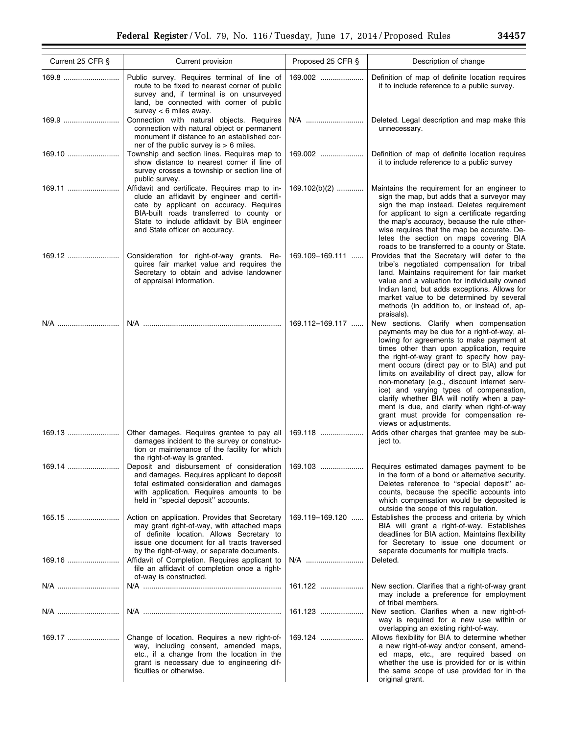| Current 25 CFR § | Current provision                                                                                                                                                                                                                                                    | Proposed 25 CFR § | Description of change                                                                                                                                                                                                                                                                                                                                                                                                                                                                                                                                                                      |
|------------------|----------------------------------------------------------------------------------------------------------------------------------------------------------------------------------------------------------------------------------------------------------------------|-------------------|--------------------------------------------------------------------------------------------------------------------------------------------------------------------------------------------------------------------------------------------------------------------------------------------------------------------------------------------------------------------------------------------------------------------------------------------------------------------------------------------------------------------------------------------------------------------------------------------|
| 169.8            | Public survey. Requires terminal of line of<br>route to be fixed to nearest corner of public<br>survey and, if terminal is on unsurveyed<br>land, be connected with corner of public<br>survey $< 6$ miles away.                                                     | 169.002           | Definition of map of definite location requires<br>it to include reference to a public survey.                                                                                                                                                                                                                                                                                                                                                                                                                                                                                             |
| 169.9            | Connection with natural objects. Requires<br>connection with natural object or permanent<br>monument if distance to an established cor-<br>ner of the public survey is $> 6$ miles.                                                                                  | N/A               | Deleted. Legal description and map make this<br>unnecessary.                                                                                                                                                                                                                                                                                                                                                                                                                                                                                                                               |
| 169.10           | Township and section lines. Requires map to<br>show distance to nearest corner if line of<br>survey crosses a township or section line of<br>public survey.                                                                                                          | 169.002           | Definition of map of definite location requires<br>it to include reference to a public survey                                                                                                                                                                                                                                                                                                                                                                                                                                                                                              |
| 169.11           | Affidavit and certificate. Requires map to in-<br>clude an affidavit by engineer and certifi-<br>cate by applicant on accuracy. Requires<br>BIA-built roads transferred to county or<br>State to include affidavit by BIA engineer<br>and State officer on accuracy. | 169.102(b)(2)     | Maintains the requirement for an engineer to<br>sign the map, but adds that a surveyor may<br>sign the map instead. Deletes requirement<br>for applicant to sign a certificate regarding<br>the map's accuracy, because the rule other-<br>wise requires that the map be accurate. De-<br>letes the section on maps covering BIA<br>roads to be transferred to a county or State.                                                                                                                                                                                                          |
|                  | Consideration for right-of-way grants. Re-<br>quires fair market value and requires the<br>Secretary to obtain and advise landowner<br>of appraisal information.                                                                                                     | 169.109-169.111   | Provides that the Secretary will defer to the<br>tribe's negotiated compensation for tribal<br>land. Maintains requirement for fair market<br>value and a valuation for individually owned<br>Indian land, but adds exceptions. Allows for<br>market value to be determined by several<br>methods (in addition to, or instead of, ap-<br>praisals).                                                                                                                                                                                                                                        |
| N/A              |                                                                                                                                                                                                                                                                      | 169.112-169.117   | New sections. Clarify when compensation<br>payments may be due for a right-of-way, al-<br>lowing for agreements to make payment at<br>times other than upon application, require<br>the right-of-way grant to specify how pay-<br>ment occurs (direct pay or to BIA) and put<br>limits on availability of direct pay, allow for<br>non-monetary (e.g., discount internet serv-<br>ice) and varying types of compensation,<br>clarify whether BIA will notify when a pay-<br>ment is due, and clarify when right-of-way<br>grant must provide for compensation re-<br>views or adjustments. |
|                  | Other damages. Requires grantee to pay all<br>damages incident to the survey or construc-<br>tion or maintenance of the facility for which<br>the right-of-way is granted.                                                                                           | 169.118           | Adds other charges that grantee may be sub-<br>ject to.                                                                                                                                                                                                                                                                                                                                                                                                                                                                                                                                    |
| 169.14           | Deposit and disbursement of consideration 169.103<br>and damages. Requires applicant to deposit<br>total estimated consideration and damages<br>with application. Requires amounts to be<br>held in "special deposit" accounts.                                      |                   | Requires estimated damages payment to be<br>in the form of a bond or alternative security.<br>Deletes reference to "special deposit" ac-<br>counts, because the specific accounts into<br>which compensation would be deposited is<br>outside the scope of this regulation.                                                                                                                                                                                                                                                                                                                |
| 165.15           | Action on application. Provides that Secretary<br>may grant right-of-way, with attached maps<br>of definite location. Allows Secretary to<br>issue one document for all tracts traversed<br>by the right-of-way, or separate documents.                              | 169.119-169.120   | Establishes the process and criteria by which<br>BIA will grant a right-of-way. Establishes<br>deadlines for BIA action. Maintains flexibility<br>for Secretary to issue one document or<br>separate documents for multiple tracts.                                                                                                                                                                                                                                                                                                                                                        |
| 169.16           | Affidavit of Completion. Requires applicant to<br>file an affidavit of completion once a right-<br>of-way is constructed.                                                                                                                                            | N/A               | Deleted.                                                                                                                                                                                                                                                                                                                                                                                                                                                                                                                                                                                   |
| N/A              |                                                                                                                                                                                                                                                                      | 161.122           | New section. Clarifies that a right-of-way grant<br>may include a preference for employment<br>of tribal members.                                                                                                                                                                                                                                                                                                                                                                                                                                                                          |
| N/A              |                                                                                                                                                                                                                                                                      | 161.123           | New section. Clarifies when a new right-of-<br>way is required for a new use within or<br>overlapping an existing right-of-way.                                                                                                                                                                                                                                                                                                                                                                                                                                                            |
| 169.17           | Change of location. Requires a new right-of-<br>way, including consent, amended maps,<br>etc., if a change from the location in the<br>grant is necessary due to engineering dif-<br>ficulties or otherwise.                                                         | 169.124           | Allows flexibility for BIA to determine whether<br>a new right-of-way and/or consent, amend-<br>ed maps, etc., are required based on<br>whether the use is provided for or is within<br>the same scope of use provided for in the<br>original grant.                                                                                                                                                                                                                                                                                                                                       |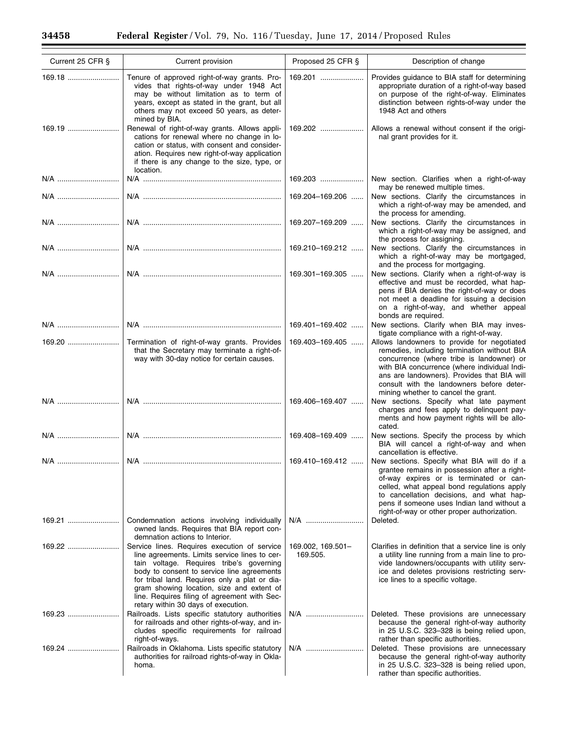$\equiv$ 

 $\equiv$ 

| Current 25 CFR § | Current provision                                                                                                                                                                                                                                                                                                                                                            | Proposed 25 CFR §             | Description of change                                                                                                                                                                                                                                                                                                                          |
|------------------|------------------------------------------------------------------------------------------------------------------------------------------------------------------------------------------------------------------------------------------------------------------------------------------------------------------------------------------------------------------------------|-------------------------------|------------------------------------------------------------------------------------------------------------------------------------------------------------------------------------------------------------------------------------------------------------------------------------------------------------------------------------------------|
| 169.18           | Tenure of approved right-of-way grants. Pro-<br>vides that rights-of-way under 1948 Act<br>may be without limitation as to term of<br>years, except as stated in the grant, but all<br>others may not exceed 50 years, as deter-<br>mined by BIA.                                                                                                                            | 169.201                       | Provides quidance to BIA staff for determining<br>appropriate duration of a right-of-way based<br>on purpose of the right-of-way. Eliminates<br>distinction between rights-of-way under the<br>1948 Act and others                                                                                                                             |
| 169.19           | Renewal of right-of-way grants. Allows appli-<br>cations for renewal where no change in lo-<br>cation or status, with consent and consider-<br>ation. Requires new right-of-way application<br>if there is any change to the size, type, or<br>location.                                                                                                                     | 169.202                       | Allows a renewal without consent if the origi-<br>nal grant provides for it.                                                                                                                                                                                                                                                                   |
| N/A              |                                                                                                                                                                                                                                                                                                                                                                              | 169.203                       | New section. Clarifies when a right-of-way                                                                                                                                                                                                                                                                                                     |
| N/A              |                                                                                                                                                                                                                                                                                                                                                                              | 169.204-169.206               | may be renewed multiple times.<br>New sections. Clarify the circumstances in<br>which a right-of-way may be amended, and<br>the process for amending.                                                                                                                                                                                          |
| N/A              |                                                                                                                                                                                                                                                                                                                                                                              | 169.207-169.209               | New sections. Clarify the circumstances in<br>which a right-of-way may be assigned, and<br>the process for assigning.                                                                                                                                                                                                                          |
| N/A              |                                                                                                                                                                                                                                                                                                                                                                              | 169.210-169.212               | New sections. Clarify the circumstances in<br>which a right-of-way may be mortgaged,<br>and the process for mortgaging.                                                                                                                                                                                                                        |
| N/A              |                                                                                                                                                                                                                                                                                                                                                                              | 169.301-169.305               | New sections. Clarify when a right-of-way is<br>effective and must be recorded, what hap-<br>pens if BIA denies the right-of-way or does<br>not meet a deadline for issuing a decision<br>on a right-of-way, and whether appeal<br>bonds are required.                                                                                         |
| N/A              |                                                                                                                                                                                                                                                                                                                                                                              | 169.401-169.402               | New sections. Clarify when BIA may inves-<br>tigate compliance with a right-of-way.                                                                                                                                                                                                                                                            |
|                  | Termination of right-of-way grants. Provides<br>that the Secretary may terminate a right-of-<br>way with 30-day notice for certain causes.                                                                                                                                                                                                                                   | 169.403-169.405               | Allows landowners to provide for negotiated<br>remedies, including termination without BIA<br>concurrence (where tribe is landowner) or<br>with BIA concurrence (where individual Indi-<br>ans are landowners). Provides that BIA will<br>consult with the landowners before deter-<br>mining whether to cancel the grant.                     |
| N/A              |                                                                                                                                                                                                                                                                                                                                                                              | 169.406-169.407               | New sections. Specify what late payment<br>charges and fees apply to delinquent pay-<br>ments and how payment rights will be allo-<br>cated.                                                                                                                                                                                                   |
|                  |                                                                                                                                                                                                                                                                                                                                                                              | 169.408-169.409               | New sections. Specify the process by which<br>BIA will cancel a right-of-way and when<br>cancellation is effective.                                                                                                                                                                                                                            |
|                  |                                                                                                                                                                                                                                                                                                                                                                              |                               | 169.410–169.412  New sections. Specify what BIA will do if a<br>grantee remains in possession after a right-<br>of-way expires or is terminated or can-<br>celled, what appeal bond regulations apply<br>to cancellation decisions, and what hap-<br>pens if someone uses Indian land without a<br>right-of-way or other proper authorization. |
| 169.21           | Condemnation actions involving individually<br>owned lands. Requires that BIA report con-<br>demnation actions to Interior.                                                                                                                                                                                                                                                  | N/A                           | Deleted.                                                                                                                                                                                                                                                                                                                                       |
| 169.22           | Service lines. Requires execution of service<br>line agreements. Limits service lines to cer-<br>tain voltage. Requires tribe's governing<br>body to consent to service line agreements<br>for tribal land. Requires only a plat or dia-<br>gram showing location, size and extent of<br>line. Requires filing of agreement with Sec-<br>retary within 30 days of execution. | 169.002, 169.501-<br>169.505. | Clarifies in definition that a service line is only<br>a utility line running from a main line to pro-<br>vide landowners/occupants with utility serv-<br>ice and deletes provisions restricting serv-<br>ice lines to a specific voltage.                                                                                                     |
| 169.23           | Railroads. Lists specific statutory authorities<br>for railroads and other rights-of-way, and in-<br>cludes specific requirements for railroad<br>right-of-ways.                                                                                                                                                                                                             | N/A                           | Deleted. These provisions are unnecessary<br>because the general right-of-way authority<br>in 25 U.S.C. 323-328 is being relied upon,<br>rather than specific authorities.                                                                                                                                                                     |
| 169.24           | Railroads in Oklahoma. Lists specific statutory<br>authorities for railroad rights-of-way in Okla-<br>homa.                                                                                                                                                                                                                                                                  | N/A                           | Deleted. These provisions are unnecessary<br>because the general right-of-way authority<br>in 25 U.S.C. 323-328 is being relied upon,<br>rather than specific authorities.                                                                                                                                                                     |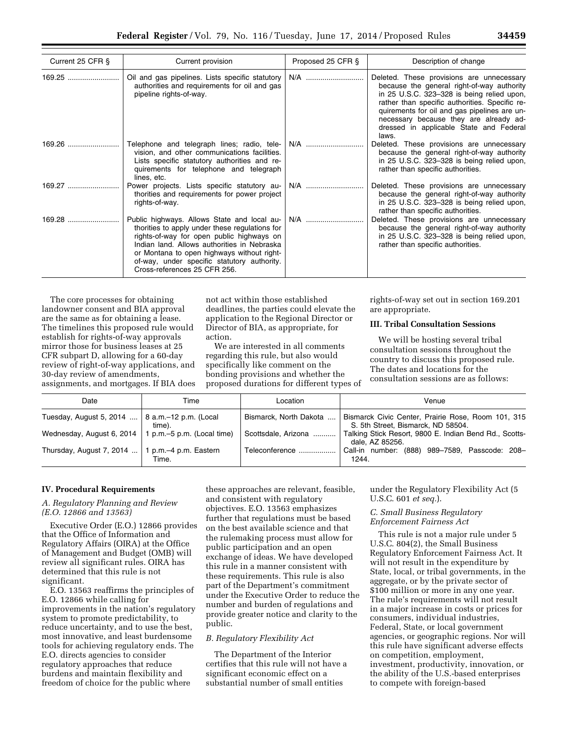| Current 25 CFR § | Current provision                                                                                                                                                                                                                                                                                                      | Proposed 25 CFR § | Description of change                                                                                                                                                                                                                                                                                                                 |
|------------------|------------------------------------------------------------------------------------------------------------------------------------------------------------------------------------------------------------------------------------------------------------------------------------------------------------------------|-------------------|---------------------------------------------------------------------------------------------------------------------------------------------------------------------------------------------------------------------------------------------------------------------------------------------------------------------------------------|
| $169.25$         | Oil and gas pipelines. Lists specific statutory<br>authorities and requirements for oil and gas<br>pipeline rights-of-way.                                                                                                                                                                                             | N/A               | Deleted. These provisions are unnecessary<br>because the general right-of-way authority<br>in 25 U.S.C. 323-328 is being relied upon,<br>rather than specific authorities. Specific re-<br>quirements for oil and gas pipelines are un-<br>necessary because they are already ad-<br>dressed in applicable State and Federal<br>laws. |
| 169.26           | Telephone and telegraph lines; radio, tele-<br>vision, and other communications facilities.<br>Lists specific statutory authorities and re-<br>quirements for telephone and telegraph<br>lines, etc.                                                                                                                   | N/A               | Deleted. These provisions are unnecessary<br>because the general right-of-way authority<br>in 25 U.S.C. 323-328 is being relied upon,<br>rather than specific authorities.                                                                                                                                                            |
| 169.27           | Power projects. Lists specific statutory au-<br>thorities and requirements for power project<br>rights-of-way.                                                                                                                                                                                                         | N/A               | Deleted. These provisions are unnecessary<br>because the general right-of-way authority<br>in 25 U.S.C. 323-328 is being relied upon,<br>rather than specific authorities.                                                                                                                                                            |
| $169.28$         | Public highways. Allows State and local au-<br>thorities to apply under these regulations for<br>rights-of-way for open public highways on<br>Indian land. Allows authorities in Nebraska<br>or Montana to open highways without right-<br>of-way, under specific statutory authority.<br>Cross-references 25 CFR 256. | N/A               | Deleted. These provisions are unnecessary<br>because the general right-of-way authority<br>in 25 U.S.C. 323-328 is being relied upon,<br>rather than specific authorities.                                                                                                                                                            |

The core processes for obtaining landowner consent and BIA approval are the same as for obtaining a lease. The timelines this proposed rule would establish for rights-of-way approvals mirror those for business leases at 25 CFR subpart D, allowing for a 60-day review of right-of-way applications, and 30-day review of amendments, assignments, and mortgages. If BIA does

not act within those established deadlines, the parties could elevate the application to the Regional Director or Director of BIA, as appropriate, for action.

We are interested in all comments regarding this rule, but also would specifically like comment on the bonding provisions and whether the proposed durations for different types of rights-of-way set out in section 169.201 are appropriate.

## **III. Tribal Consultation Sessions**

We will be hosting several tribal consultation sessions throughout the country to discuss this proposed rule. The dates and locations for the consultation sessions are as follows:

| Date                      | Time                            | Location               | Venue                                                                                    |
|---------------------------|---------------------------------|------------------------|------------------------------------------------------------------------------------------|
| Tuesday, August 5, 2014   | 8 a.m.–12 p.m. (Local<br>time). | Bismarck, North Dakota | Bismarck Civic Center, Prairie Rose, Room 101, 315<br>S. 5th Street, Bismarck, ND 58504. |
| Wednesday, August 6, 2014 | 1 p.m.–5 p.m. (Local time)      | Scottsdale, Arizona    | Talking Stick Resort, 9800 E. Indian Bend Rd., Scotts-<br>dale, AZ 85256.                |
| Thursday, August 7, 2014  | 1 p.m.–4 p.m. Eastern<br>Time.  | Teleconference         | Call-in number: (888) 989-7589, Passcode: 208-<br>1244.                                  |

## **IV. Procedural Requirements**

### *A. Regulatory Planning and Review (E.O. 12866 and 13563)*

Executive Order (E.O.) 12866 provides that the Office of Information and Regulatory Affairs (OIRA) at the Office of Management and Budget (OMB) will review all significant rules. OIRA has determined that this rule is not significant.

E.O. 13563 reaffirms the principles of E.O. 12866 while calling for improvements in the nation's regulatory system to promote predictability, to reduce uncertainty, and to use the best, most innovative, and least burdensome tools for achieving regulatory ends. The E.O. directs agencies to consider regulatory approaches that reduce burdens and maintain flexibility and freedom of choice for the public where

these approaches are relevant, feasible, and consistent with regulatory objectives. E.O. 13563 emphasizes further that regulations must be based on the best available science and that the rulemaking process must allow for public participation and an open exchange of ideas. We have developed this rule in a manner consistent with these requirements. This rule is also part of the Department's commitment under the Executive Order to reduce the number and burden of regulations and provide greater notice and clarity to the public.

### *B. Regulatory Flexibility Act*

The Department of the Interior certifies that this rule will not have a significant economic effect on a substantial number of small entities

under the Regulatory Flexibility Act (5 U.S.C. 601 *et seq.*).

## *C. Small Business Regulatory Enforcement Fairness Act*

This rule is not a major rule under 5 U.S.C. 804(2), the Small Business Regulatory Enforcement Fairness Act. It will not result in the expenditure by State, local, or tribal governments, in the aggregate, or by the private sector of \$100 million or more in any one year. The rule's requirements will not result in a major increase in costs or prices for consumers, individual industries, Federal, State, or local government agencies, or geographic regions. Nor will this rule have significant adverse effects on competition, employment, investment, productivity, innovation, or the ability of the U.S.-based enterprises to compete with foreign-based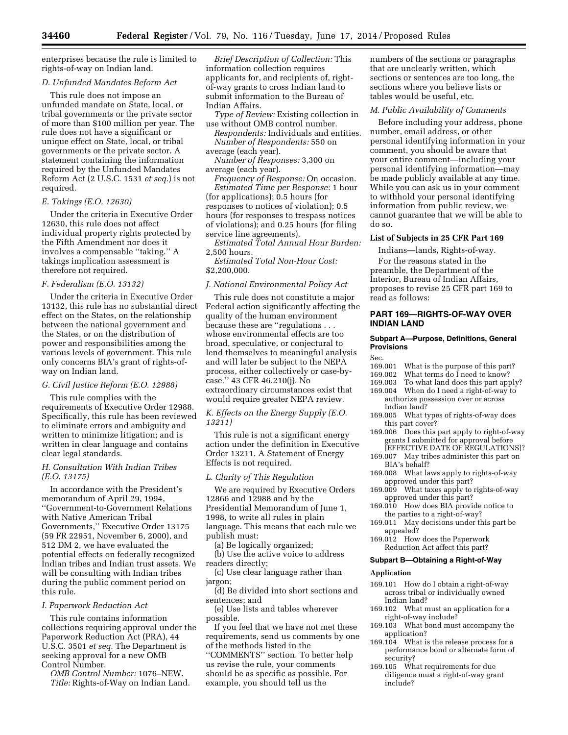enterprises because the rule is limited to rights-of-way on Indian land.

# *D. Unfunded Mandates Reform Act*

This rule does not impose an unfunded mandate on State, local, or tribal governments or the private sector of more than \$100 million per year. The rule does not have a significant or unique effect on State, local, or tribal governments or the private sector. A statement containing the information required by the Unfunded Mandates Reform Act (2 U.S.C. 1531 *et seq.*) is not required.

# *E. Takings (E.O. 12630)*

Under the criteria in Executive Order 12630, this rule does not affect individual property rights protected by the Fifth Amendment nor does it involves a compensable ''taking.'' A takings implication assessment is therefore not required.

# *F. Federalism (E.O. 13132)*

Under the criteria in Executive Order 13132, this rule has no substantial direct effect on the States, on the relationship between the national government and the States, or on the distribution of power and responsibilities among the various levels of government. This rule only concerns BIA's grant of rights-ofway on Indian land.

### *G. Civil Justice Reform (E.O. 12988)*

This rule complies with the requirements of Executive Order 12988. Specifically, this rule has been reviewed to eliminate errors and ambiguity and written to minimize litigation; and is written in clear language and contains clear legal standards.

# *H. Consultation With Indian Tribes (E.O. 13175)*

In accordance with the President's memorandum of April 29, 1994, ''Government-to-Government Relations with Native American Tribal Governments,'' Executive Order 13175 (59 FR 22951, November 6, 2000), and 512 DM 2, we have evaluated the potential effects on federally recognized Indian tribes and Indian trust assets. We will be consulting with Indian tribes during the public comment period on this rule.

# *I. Paperwork Reduction Act*

This rule contains information collections requiring approval under the Paperwork Reduction Act (PRA), 44 U.S.C. 3501 *et seq.* The Department is seeking approval for a new OMB Control Number.

*OMB Control Number:* 1076–NEW. *Title:* Rights-of-Way on Indian Land.

*Brief Description of Collection:* This information collection requires applicants for, and recipients of, rightof-way grants to cross Indian land to submit information to the Bureau of Indian Affairs.

*Type of Review:* Existing collection in use without OMB control number.

*Respondents:* Individuals and entities. *Number of Respondents:* 550 on average (each year).

*Number of Responses:* 3,300 on average (each year).

*Frequency of Response:* On occasion. *Estimated Time per Response:* 1 hour (for applications); 0.5 hours (for responses to notices of violation); 0.5 hours (for responses to trespass notices of violations); and 0.25 hours (for filing service line agreements).

*Estimated Total Annual Hour Burden:*  2,500 hours.

*Estimated Total Non-Hour Cost:*  \$2,200,000.

### *J. National Environmental Policy Act*

This rule does not constitute a major Federal action significantly affecting the quality of the human environment because these are ''regulations . . . whose environmental effects are too broad, speculative, or conjectural to lend themselves to meaningful analysis and will later be subject to the NEPA process, either collectively or case-bycase.'' 43 CFR 46.210(j). No extraordinary circumstances exist that would require greater NEPA review.

*K. Effects on the Energy Supply (E.O. 13211)* 

This rule is not a significant energy action under the definition in Executive Order 13211. A Statement of Energy Effects is not required.

### *L. Clarity of This Regulation*

We are required by Executive Orders 12866 and 12988 and by the Presidential Memorandum of June 1, 1998, to write all rules in plain language. This means that each rule we publish must:

(a) Be logically organized;

(b) Use the active voice to address readers directly;

(c) Use clear language rather than jargon;

(d) Be divided into short sections and sentences; and

(e) Use lists and tables wherever possible.

If you feel that we have not met these requirements, send us comments by one of the methods listed in the ''COMMENTS'' section. To better help us revise the rule, your comments should be as specific as possible. For example, you should tell us the

numbers of the sections or paragraphs that are unclearly written, which sections or sentences are too long, the sections where you believe lists or tables would be useful, etc.

## *M. Public Availability of Comments*

Before including your address, phone number, email address, or other personal identifying information in your comment, you should be aware that your entire comment—including your personal identifying information—may be made publicly available at any time. While you can ask us in your comment to withhold your personal identifying information from public review, we cannot guarantee that we will be able to do so.

## **List of Subjects in 25 CFR Part 169**

Indians—lands, Rights-of-way. For the reasons stated in the preamble, the Department of the Interior, Bureau of Indian Affairs, proposes to revise 25 CFR part 169 to read as follows:

# **PART 169—RIGHTS-OF-WAY OVER INDIAN LAND**

### **Subpart A—Purpose, Definitions, General Provisions**

- Sec.<br>169.001 What is the purpose of this part?
- 169.002 What terms do I need to know?<br>169.003 To what land does this part app
- 169.003 To what land does this part apply?<br>169.004 When do I need a right-of-way to
- When do I need a right-of-way to authorize possession over or across Indian land?
- 169.005 What types of rights-of-way does this part cover?
- 169.006 Does this part apply to right-of-way grants I submitted for approval before [EFFECTIVE DATE OF REGULATIONS]?
- 169.007 May tribes administer this part on BIA's behalf?
- 169.008 What laws apply to rights-of-way approved under this part?
- 169.009 What taxes apply to rights-of-way approved under this part?
- 169.010 How does BIA provide notice to the parties to a right-of-way?
- 169.011 May decisions under this part be appealed?
- 169.012 How does the Paperwork Reduction Act affect this part?

# **Subpart B—Obtaining a Right-of-Way**

### **Application**

- 169.101 How do I obtain a right-of-way across tribal or individually owned Indian land?
- 169.102 What must an application for a right-of-way include?
- 169.103 What bond must accompany the application?
- 169.104 What is the release process for a performance bond or alternate form of security?
- 169.105 What requirements for due diligence must a right-of-way grant include?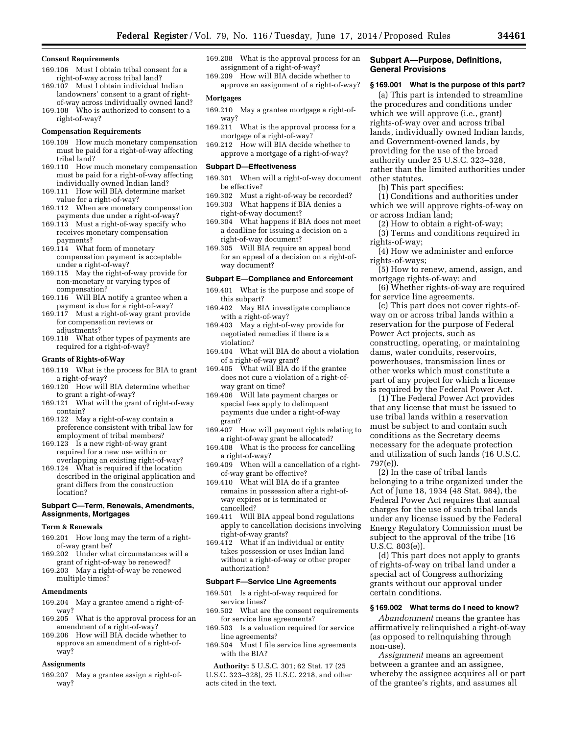#### **Consent Requirements**

- 169.106 Must I obtain tribal consent for a right-of-way across tribal land?
- 169.107 Must I obtain individual Indian landowners' consent to a grant of rightof-way across individually owned land?
- 169.108 Who is authorized to consent to a right-of-way?

#### **Compensation Requirements**

- 169.109 How much monetary compensation must be paid for a right-of-way affecting tribal land?
- 169.110 How much monetary compensation must be paid for a right-of-way affecting individually owned Indian land?
- 169.111 How will BIA determine market value for a right-of-way?
- 169.112 When are monetary compensation payments due under a right-of-way?
- 169.113 Must a right-of-way specify who receives monetary compensation payments?
- 169.114 What form of monetary compensation payment is acceptable under a right-of-way?
- 169.115 May the right-of-way provide for non-monetary or varying types of compensation?
- 169.116 Will BIA notify a grantee when a payment is due for a right-of-way?
- 169.117 Must a right-of-way grant provide for compensation reviews or adjustments?
- 169.118 What other types of payments are required for a right-of-way?

#### **Grants of Rights-of-Way**

- 169.119 What is the process for BIA to grant a right-of-way?
- 169.120 How will BIA determine whether to grant a right-of-way?
- 169.121 What will the grant of right-of-way contain?
- 169.122 May a right-of-way contain a preference consistent with tribal law for employment of tribal members?
- 169.123 Is a new right-of-way grant required for a new use within or overlapping an existing right-of-way?
- 169.124 What is required if the location described in the original application and grant differs from the construction location?

## **Subpart C—Term, Renewals, Amendments, Assignments, Mortgages**

#### **Term & Renewals**

- 169.201 How long may the term of a rightof-way grant be?
- 169.202 Under what circumstances will a grant of right-of-way be renewed?
- 169.203 May a right-of-way be renewed multiple times?

#### **Amendments**

- 169.204 May a grantee amend a right-ofway?
- 169.205 What is the approval process for an amendment of a right-of-way?
- 169.206 How will BIA decide whether to approve an amendment of a right-ofway?

#### **Assignments**

169.207 May a grantee assign a right-ofway?

- 169.208 What is the approval process for an assignment of a right-of-way?
- 169.209 How will BIA decide whether to approve an assignment of a right-of-way?

#### **Mortgages**

- 169.210 May a grantee mortgage a right-ofway?
- 169.211 What is the approval process for a mortgage of a right-of-way?
- 169.212 How will BIA decide whether to approve a mortgage of a right-of-way?

#### **Subpart D—Effectiveness**

- 169.301 When will a right-of-way document be effective?
- 169.302 Must a right-of-way be recorded? 169.303 What happens if BIA denies a right-of-way document?
- 169.304 What happens if BIA does not meet a deadline for issuing a decision on a right-of-way document?
- 169.305 Will BIA require an appeal bond for an appeal of a decision on a right-ofway document?

#### **Subpart E—Compliance and Enforcement**

- 169.401 What is the purpose and scope of this subpart?
- 169.402 May BIA investigate compliance with a right-of-way?
- 169.403 May a right-of-way provide for negotiated remedies if there is a violation?
- 169.404 What will BIA do about a violation of a right-of-way grant?
- 169.405 What will BIA do if the grantee does not cure a violation of a right-ofway grant on time?
- 169.406 Will late payment charges or special fees apply to delinquent payments due under a right-of-way grant?
- 169.407 How will payment rights relating to a right-of-way grant be allocated?
- 169.408 What is the process for cancelling a right-of-way?
- 169.409 When will a cancellation of a rightof-way grant be effective?
- 169.410 What will BIA do if a grantee remains in possession after a right-ofway expires or is terminated or cancelled?
- 169.411 Will BIA appeal bond regulations apply to cancellation decisions involving right-of-way grants?
- 169.412 What if an individual or entity takes possession or uses Indian land without a right-of-way or other proper authorization?

#### **Subpart F—Service Line Agreements**

- 169.501 Is a right-of-way required for service lines?
- 169.502 What are the consent requirements for service line agreements?
- 169.503 Is a valuation required for service line agreements?
- 169.504 Must I file service line agreements with the BIA?
- **Authority:** 5 U.S.C. 301; 62 Stat. 17 (25 U.S.C. 323–328), 25 U.S.C. 2218, and other acts cited in the text.

### **Subpart A—Purpose, Definitions, General Provisions**

#### **§ 169.001 What is the purpose of this part?**

(a) This part is intended to streamline the procedures and conditions under which we will approve (i.e., grant) rights-of-way over and across tribal lands, individually owned Indian lands, and Government-owned lands, by providing for the use of the broad authority under 25 U.S.C. 323–328, rather than the limited authorities under other statutes.

(b) This part specifies:

(1) Conditions and authorities under which we will approve rights-of-way on or across Indian land;

- (2) How to obtain a right-of-way;
- (3) Terms and conditions required in rights-of-way;

(4) How we administer and enforce rights-of-ways;

(5) How to renew, amend, assign, and mortgage rights-of-way; and

(6) Whether rights-of-way are required for service line agreements.

(c) This part does not cover rights-ofway on or across tribal lands within a reservation for the purpose of Federal Power Act projects, such as constructing, operating, or maintaining dams, water conduits, reservoirs, powerhouses, transmission lines or other works which must constitute a part of any project for which a license is required by the Federal Power Act.

(1) The Federal Power Act provides that any license that must be issued to use tribal lands within a reservation must be subject to and contain such conditions as the Secretary deems necessary for the adequate protection and utilization of such lands (16 U.S.C. 797(e)).

(2) In the case of tribal lands belonging to a tribe organized under the Act of June 18, 1934 (48 Stat. 984), the Federal Power Act requires that annual charges for the use of such tribal lands under any license issued by the Federal Energy Regulatory Commission must be subject to the approval of the tribe (16 U.S.C. 803(e)).

(d) This part does not apply to grants of rights-of-way on tribal land under a special act of Congress authorizing grants without our approval under certain conditions.

### **§ 169.002 What terms do I need to know?**

*Abandonment* means the grantee has affirmatively relinquished a right-of-way (as opposed to relinquishing through non-use).

*Assignment* means an agreement between a grantee and an assignee, whereby the assignee acquires all or part of the grantee's rights, and assumes all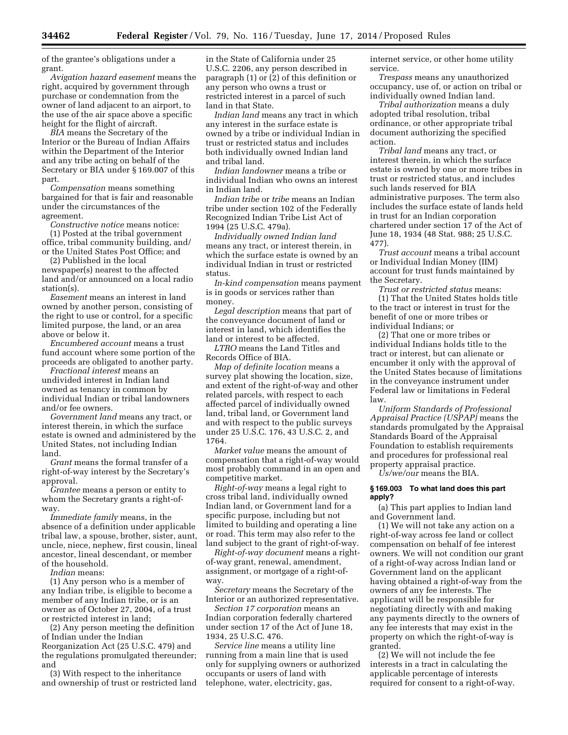of the grantee's obligations under a grant.

*Avigation hazard easement* means the right, acquired by government through purchase or condemnation from the owner of land adjacent to an airport, to the use of the air space above a specific height for the flight of aircraft.

*BIA* means the Secretary of the Interior or the Bureau of Indian Affairs within the Department of the Interior and any tribe acting on behalf of the Secretary or BIA under § 169.007 of this part.

*Compensation* means something bargained for that is fair and reasonable under the circumstances of the agreement.

*Constructive notice* means notice:

(1) Posted at the tribal government office, tribal community building, and/ or the United States Post Office; and

(2) Published in the local newspaper(s) nearest to the affected land and/or announced on a local radio station(s).

*Easement* means an interest in land owned by another person, consisting of the right to use or control, for a specific limited purpose, the land, or an area above or below it.

*Encumbered account* means a trust fund account where some portion of the proceeds are obligated to another party.

*Fractional interest* means an undivided interest in Indian land owned as tenancy in common by individual Indian or tribal landowners and/or fee owners.

*Government land* means any tract, or interest therein, in which the surface estate is owned and administered by the United States, not including Indian land.

*Grant* means the formal transfer of a right-of-way interest by the Secretary's approval.

*Grantee* means a person or entity to whom the Secretary grants a right-ofway.

*Immediate family* means, in the absence of a definition under applicable tribal law, a spouse, brother, sister, aunt, uncle, niece, nephew, first cousin, lineal ancestor, lineal descendant, or member of the household.

*Indian* means:

(1) Any person who is a member of any Indian tribe, is eligible to become a member of any Indian tribe, or is an owner as of October 27, 2004, of a trust or restricted interest in land;

(2) Any person meeting the definition of Indian under the Indian Reorganization Act (25 U.S.C. 479) and the regulations promulgated thereunder; and

(3) With respect to the inheritance and ownership of trust or restricted land in the State of California under 25 U.S.C. 2206, any person described in paragraph (1) or (2) of this definition or any person who owns a trust or restricted interest in a parcel of such land in that State.

*Indian land* means any tract in which any interest in the surface estate is owned by a tribe or individual Indian in trust or restricted status and includes both individually owned Indian land and tribal land.

*Indian landowner* means a tribe or individual Indian who owns an interest in Indian land.

*Indian tribe* or *tribe* means an Indian tribe under section 102 of the Federally Recognized Indian Tribe List Act of 1994 (25 U.S.C. 479a).

*Individually owned Indian land*  means any tract, or interest therein, in which the surface estate is owned by an individual Indian in trust or restricted status.

*In-kind compensation* means payment is in goods or services rather than money.

*Legal description* means that part of the conveyance document of land or interest in land, which identifies the land or interest to be affected.

*LTRO* means the Land Titles and Records Office of BIA.

*Map of definite location* means a survey plat showing the location, size, and extent of the right-of-way and other related parcels, with respect to each affected parcel of individually owned land, tribal land, or Government land and with respect to the public surveys under 25 U.S.C. 176, 43 U.S.C. 2, and 1764.

*Market value* means the amount of compensation that a right-of-way would most probably command in an open and competitive market.

*Right-of-way* means a legal right to cross tribal land, individually owned Indian land, or Government land for a specific purpose, including but not limited to building and operating a line or road. This term may also refer to the land subject to the grant of right-of-way.

*Right-of-way document* means a rightof-way grant, renewal, amendment, assignment, or mortgage of a right-ofway.

*Secretary* means the Secretary of the Interior or an authorized representative.

*Section 17 corporation* means an Indian corporation federally chartered under section 17 of the Act of June 18, 1934, 25 U.S.C. 476.

*Service line* means a utility line running from a main line that is used only for supplying owners or authorized occupants or users of land with telephone, water, electricity, gas,

internet service, or other home utility service.

*Trespass* means any unauthorized occupancy, use of, or action on tribal or individually owned Indian land.

*Tribal authorization* means a duly adopted tribal resolution, tribal ordinance, or other appropriate tribal document authorizing the specified action.

*Tribal land* means any tract, or interest therein, in which the surface estate is owned by one or more tribes in trust or restricted status, and includes such lands reserved for BIA administrative purposes. The term also includes the surface estate of lands held in trust for an Indian corporation chartered under section 17 of the Act of June 18, 1934 (48 Stat. 988; 25 U.S.C. 477).

*Trust account* means a tribal account or Individual Indian Money (IIM) account for trust funds maintained by the Secretary.

*Trust or restricted status* means: (1) That the United States holds title to the tract or interest in trust for the benefit of one or more tribes or individual Indians; or

(2) That one or more tribes or individual Indians holds title to the tract or interest, but can alienate or encumber it only with the approval of the United States because of limitations in the conveyance instrument under Federal law or limitations in Federal law.

*Uniform Standards of Professional Appraisal Practice (USPAP)* means the standards promulgated by the Appraisal Standards Board of the Appraisal Foundation to establish requirements and procedures for professional real property appraisal practice.

*Us/we/our* means the BIA.

#### **§ 169.003 To what land does this part apply?**

(a) This part applies to Indian land and Government land.

(1) We will not take any action on a right-of-way across fee land or collect compensation on behalf of fee interest owners. We will not condition our grant of a right-of-way across Indian land or Government land on the applicant having obtained a right-of-way from the owners of any fee interests. The applicant will be responsible for negotiating directly with and making any payments directly to the owners of any fee interests that may exist in the property on which the right-of-way is granted.

(2) We will not include the fee interests in a tract in calculating the applicable percentage of interests required for consent to a right-of-way.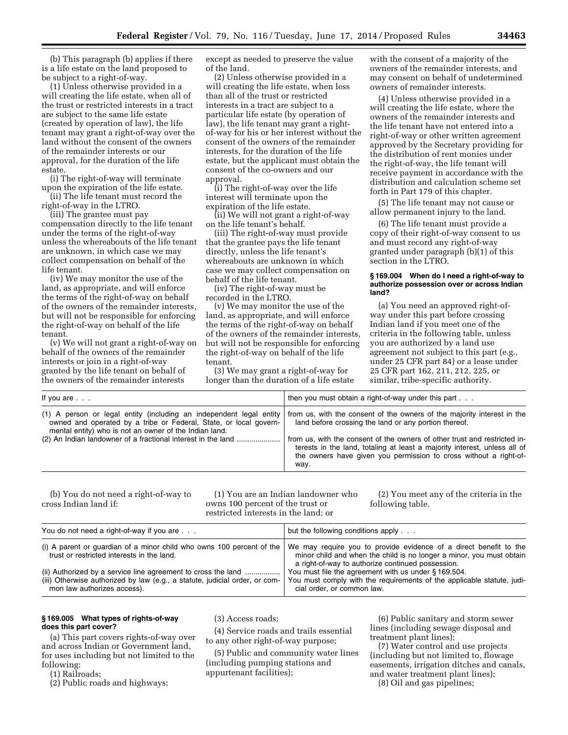(b) This paragraph (b) applies if there is a life estate on the land proposed to be subject to a right-of-way.

(1) Unless otherwise provided in a will creating the life estate, when all of the trust or restricted interests in a tract are subject to the same life estate (created by operation of law), the life tenant may grant a right-of-way over the land without the consent of the owners of the remainder interests or our approval, for the duration of the life estate.

(i) The right-of-way will terminate upon the expiration of the life estate.

(ii) The life tenant must record the right-of-way in the LTRO.

(iii) The grantee must pay compensation directly to the life tenant under the terms of the right-of-way unless the whereabouts of the life tenant are unknown, in which case we may collect compensation on behalf of the life tenant.

(iv) We may monitor the use of the land, as appropriate, and will enforce the terms of the right-of-way on behalf of the owners of the remainder interests, but will not be responsible for enforcing the right-of-way on behalf of the life tenant.

(v) We will not grant a right-of-way on behalf of the owners of the remainder interests or join in a right-of-way granted by the life tenant on behalf of the owners of the remainder interests

except as needed to preserve the value of the land.

(2) Unless otherwise provided in a will creating the life estate, when less than all of the trust or restricted interests in a tract are subject to a particular life estate (by operation of law), the life tenant may grant a rightof-way for his or her interest without the consent of the owners of the remainder interests, for the duration of the life estate, but the applicant must obtain the consent of the co-owners and our approval.

(i) The right-of-way over the life interest will terminate upon the expiration of the life estate.

(ii) We will not grant a right-of-way on the life tenant's behalf.

(iii) The right-of-way must provide that the grantee pays the life tenant directly, unless the life tenant's whereabouts are unknown in which case we may collect compensation on behalf of the life tenant.

(iv) The right-of-way must be recorded in the LTRO.

(v) We may monitor the use of the land, as appropriate, and will enforce the terms of the right-of-way on behalf of the owners of the remainder interests, but will not be responsible for enforcing the right-of-way on behalf of the life tenant.

(3) We may grant a right-of-way for longer than the duration of a life estate

with the consent of a majority of the owners of the remainder interests, and may consent on behalf of undetermined owners of remainder interests.

(4) Unless otherwise provided in a will creating the life estate, where the owners of the remainder interests and the life tenant have not entered into a right-of-way or other written agreement approved by the Secretary providing for the distribution of rent monies under the right-of-way, the life tenant will receive payment in accordance with the distribution and calculation scheme set forth in Part 179 of this chapter.

(5) The life tenant may not cause or allow permanent injury to the land.

(6) The life tenant must provide a copy of their right-of-way consent to us and must record any right-of-way granted under paragraph (b)(1) of this section in the LTRO.

### **§ 169.004 When do I need a right-of-way to authorize possession over or across Indian land?**

(a) You need an approved right-ofway under this part before crossing Indian land if you meet one of the criteria in the following table, unless you are authorized by a land use agreement not subject to this part (e.g., under 25 CFR part 84) or a lease under 25 CFR part 162, 211, 212, 225, or similar, tribe-specific authority.

| If you are $\ldots$                                                                                                                                                                                                                                                | then you must obtain a right-of-way under this part                                                                                                                                                                                                                                                                                                                     |
|--------------------------------------------------------------------------------------------------------------------------------------------------------------------------------------------------------------------------------------------------------------------|-------------------------------------------------------------------------------------------------------------------------------------------------------------------------------------------------------------------------------------------------------------------------------------------------------------------------------------------------------------------------|
| (1) A person or legal entity (including an independent legal entity<br>owned and operated by a tribe or Federal, State, or local govern-<br>mental entity) who is not an owner of the Indian land.<br>(2) An Indian landowner of a fractional interest in the land | from us, with the consent of the owners of the majority interest in the<br>land before crossing the land or any portion thereof.<br>from us, with the consent of the owners of other trust and restricted in-<br>terests in the land, totaling at least a majority interest, unless all of<br>the owners have given you permission to cross without a right-of-<br>way. |

(b) You do not need a right-of-way to cross Indian land if:

(1) You are an Indian landowner who owns 100 percent of the trust or restricted interests in the land; or

(2) You meet any of the criteria in the following table.

| You do not need a right-of-way if you are                                                                                                                                   | but the following conditions apply                                                                                                                                                             |
|-----------------------------------------------------------------------------------------------------------------------------------------------------------------------------|------------------------------------------------------------------------------------------------------------------------------------------------------------------------------------------------|
| (i) A parent or quardian of a minor child who owns 100 percent of the<br>trust or restricted interests in the land.                                                         | We may require you to provide evidence of a direct benefit to the<br>minor child and when the child is no longer a minor, you must obtain<br>a right-of-way to authorize continued possession. |
| (ii) Authorized by a service line agreement to cross the land<br>(iii) Otherwise authorized by law (e.g., a statute, judicial order, or com-<br>mon law authorizes access). | You must file the agreement with us under §169.504.<br>You must comply with the requirements of the applicable statute, judi-<br>cial order, or common law.                                    |

# **§ 169.005 What types of rights-of-way does this part cover?**

(a) This part covers rights-of-way over and across Indian or Government land, for uses including but not limited to the following:

(1) Railroads;

(2) Public roads and highways;

(3) Access roads;

(4) Service roads and trails essential to any other right-of-way purpose;

(5) Public and community water lines (including pumping stations and appurtenant facilities);

(6) Public sanitary and storm sewer lines (including sewage disposal and treatment plant lines);

(7) Water control and use projects (including but not limited to, flowage easements, irrigation ditches and canals, and water treatment plant lines); (8) Oil and gas pipelines;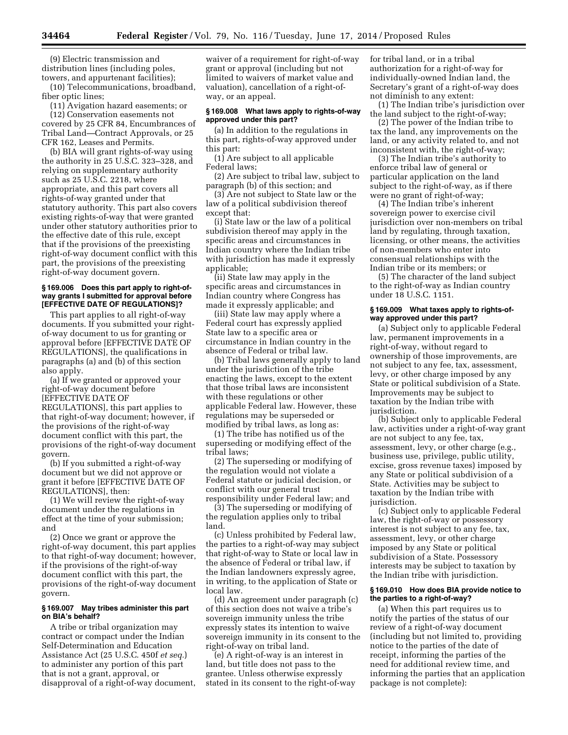(9) Electric transmission and distribution lines (including poles, towers, and appurtenant facilities);

(10) Telecommunications, broadband, fiber optic lines;

(11) Avigation hazard easements; or (12) Conservation easements not

covered by 25 CFR 84, Encumbrances of Tribal Land—Contract Approvals, or 25 CFR 162, Leases and Permits.

(b) BIA will grant rights-of-way using the authority in 25 U.S.C. 323–328, and relying on supplementary authority such as 25 U.S.C. 2218, where appropriate, and this part covers all rights-of-way granted under that statutory authority. This part also covers existing rights-of-way that were granted under other statutory authorities prior to the effective date of this rule, except that if the provisions of the preexisting right-of-way document conflict with this part, the provisions of the preexisting right-of-way document govern.

## **§ 169.006 Does this part apply to right-ofway grants I submitted for approval before [EFFECTIVE DATE OF REGULATIONS]?**

This part applies to all right-of-way documents. If you submitted your rightof-way document to us for granting or approval before [EFFECTIVE DATE OF REGULATIONS], the qualifications in paragraphs (a) and (b) of this section also apply.

(a) If we granted or approved your right-of-way document before [EFFECTIVE DATE OF REGULATIONS], this part applies to that right-of-way document; however, if the provisions of the right-of-way document conflict with this part, the provisions of the right-of-way document govern.

(b) If you submitted a right-of-way document but we did not approve or grant it before [EFFECTIVE DATE OF REGULATIONS], then:

(1) We will review the right-of-way document under the regulations in effect at the time of your submission; and

(2) Once we grant or approve the right-of-way document, this part applies to that right-of-way document; however, if the provisions of the right-of-way document conflict with this part, the provisions of the right-of-way document govern.

## **§ 169.007 May tribes administer this part on BIA's behalf?**

A tribe or tribal organization may contract or compact under the Indian Self-Determination and Education Assistance Act (25 U.S.C. 450f *et seq.*) to administer any portion of this part that is not a grant, approval, or disapproval of a right-of-way document,

waiver of a requirement for right-of-way grant or approval (including but not limited to waivers of market value and valuation), cancellation of a right-ofway, or an appeal.

### **§ 169.008 What laws apply to rights-of-way approved under this part?**

(a) In addition to the regulations in this part, rights-of-way approved under this part:

(1) Are subject to all applicable Federal laws;

(2) Are subject to tribal law, subject to paragraph (b) of this section; and

(3) Are not subject to State law or the law of a political subdivision thereof except that:

(i) State law or the law of a political subdivision thereof may apply in the specific areas and circumstances in Indian country where the Indian tribe with jurisdiction has made it expressly applicable;

(ii) State law may apply in the specific areas and circumstances in Indian country where Congress has made it expressly applicable; and

(iii) State law may apply where a Federal court has expressly applied State law to a specific area or circumstance in Indian country in the absence of Federal or tribal law.

(b) Tribal laws generally apply to land under the jurisdiction of the tribe enacting the laws, except to the extent that those tribal laws are inconsistent with these regulations or other applicable Federal law. However, these regulations may be superseded or modified by tribal laws, as long as:

(1) The tribe has notified us of the superseding or modifying effect of the tribal laws;

(2) The superseding or modifying of the regulation would not violate a Federal statute or judicial decision, or conflict with our general trust responsibility under Federal law; and

(3) The superseding or modifying of the regulation applies only to tribal land.

(c) Unless prohibited by Federal law, the parties to a right-of-way may subject that right-of-way to State or local law in the absence of Federal or tribal law, if the Indian landowners expressly agree, in writing, to the application of State or local law.

(d) An agreement under paragraph (c) of this section does not waive a tribe's sovereign immunity unless the tribe expressly states its intention to waive sovereign immunity in its consent to the right-of-way on tribal land.

(e) A right-of-way is an interest in land, but title does not pass to the grantee. Unless otherwise expressly stated in its consent to the right-of-way for tribal land, or in a tribal authorization for a right-of-way for individually-owned Indian land, the Secretary's grant of a right-of-way does not diminish to any extent:

(1) The Indian tribe's jurisdiction over the land subject to the right-of-way;

(2) The power of the Indian tribe to tax the land, any improvements on the land, or any activity related to, and not inconsistent with, the right-of-way;

(3) The Indian tribe's authority to enforce tribal law of general or particular application on the land subject to the right-of-way, as if there were no grant of right-of-way;

(4) The Indian tribe's inherent sovereign power to exercise civil jurisdiction over non-members on tribal land by regulating, through taxation, licensing, or other means, the activities of non-members who enter into consensual relationships with the Indian tribe or its members; or

(5) The character of the land subject to the right-of-way as Indian country under 18 U.S.C. 1151.

#### **§ 169.009 What taxes apply to rights-ofway approved under this part?**

(a) Subject only to applicable Federal law, permanent improvements in a right-of-way, without regard to ownership of those improvements, are not subject to any fee, tax, assessment, levy, or other charge imposed by any State or political subdivision of a State. Improvements may be subject to taxation by the Indian tribe with jurisdiction.

(b) Subject only to applicable Federal law, activities under a right-of-way grant are not subject to any fee, tax, assessment, levy, or other charge (e.g., business use, privilege, public utility, excise, gross revenue taxes) imposed by any State or political subdivision of a State. Activities may be subject to taxation by the Indian tribe with jurisdiction.

(c) Subject only to applicable Federal law, the right-of-way or possessory interest is not subject to any fee, tax, assessment, levy, or other charge imposed by any State or political subdivision of a State. Possessory interests may be subject to taxation by the Indian tribe with jurisdiction.

### **§ 169.010 How does BIA provide notice to the parties to a right-of-way?**

(a) When this part requires us to notify the parties of the status of our review of a right-of-way document (including but not limited to, providing notice to the parties of the date of receipt, informing the parties of the need for additional review time, and informing the parties that an application package is not complete):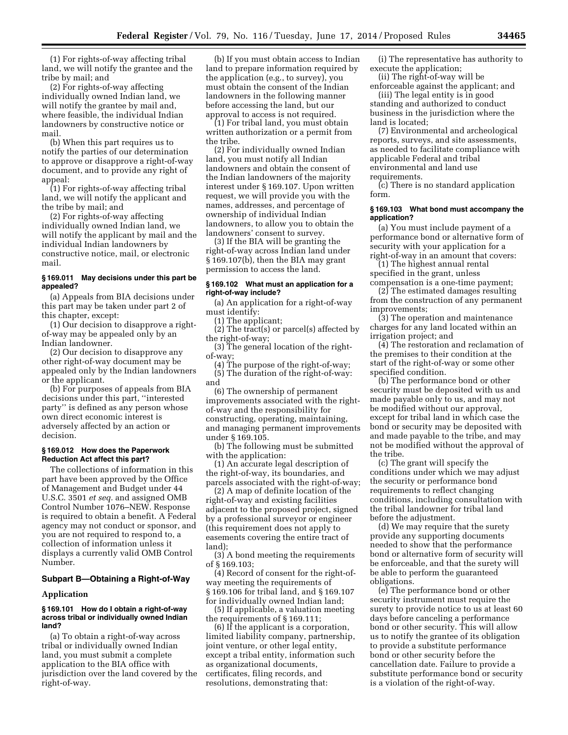(1) For rights-of-way affecting tribal land, we will notify the grantee and the tribe by mail; and

(2) For rights-of-way affecting individually owned Indian land, we will notify the grantee by mail and, where feasible, the individual Indian landowners by constructive notice or mail.

(b) When this part requires us to notify the parties of our determination to approve or disapprove a right-of-way document, and to provide any right of appeal:

(1) For rights-of-way affecting tribal land, we will notify the applicant and the tribe by mail; and

(2) For rights-of-way affecting individually owned Indian land, we will notify the applicant by mail and the individual Indian landowners by constructive notice, mail, or electronic mail.

### **§ 169.011 May decisions under this part be appealed?**

(a) Appeals from BIA decisions under this part may be taken under part 2 of this chapter, except:

(1) Our decision to disapprove a rightof-way may be appealed only by an Indian landowner.

(2) Our decision to disapprove any other right-of-way document may be appealed only by the Indian landowners or the applicant.

(b) For purposes of appeals from BIA decisions under this part, ''interested party'' is defined as any person whose own direct economic interest is adversely affected by an action or decision.

## **§ 169.012 How does the Paperwork Reduction Act affect this part?**

The collections of information in this part have been approved by the Office of Management and Budget under 44 U.S.C. 3501 *et seq.* and assigned OMB Control Number 1076–NEW. Response is required to obtain a benefit. A Federal agency may not conduct or sponsor, and you are not required to respond to, a collection of information unless it displays a currently valid OMB Control Number.

### **Subpart B—Obtaining a Right-of-Way**

#### **Application**

#### **§ 169.101 How do I obtain a right-of-way across tribal or individually owned Indian land?**

(a) To obtain a right-of-way across tribal or individually owned Indian land, you must submit a complete application to the BIA office with jurisdiction over the land covered by the right-of-way.

(b) If you must obtain access to Indian land to prepare information required by the application (e.g., to survey), you must obtain the consent of the Indian landowners in the following manner before accessing the land, but our approval to access is not required.

(1) For tribal land, you must obtain written authorization or a permit from the tribe.

(2) For individually owned Indian land, you must notify all Indian landowners and obtain the consent of the Indian landowners of the majority interest under § 169.107. Upon written request, we will provide you with the names, addresses, and percentage of ownership of individual Indian landowners, to allow you to obtain the landowners' consent to survey.

(3) If the BIA will be granting the right-of-way across Indian land under § 169.107(b), then the BIA may grant permission to access the land.

### **§ 169.102 What must an application for a right-of-way include?**

(a) An application for a right-of-way must identify:

(1) The applicant;

(2) The tract(s) or parcel(s) affected by the right-of-way;

(3) The general location of the rightof-way;

(4) The purpose of the right-of-way; (5) The duration of the right-of-way: and

(6) The ownership of permanent improvements associated with the rightof-way and the responsibility for constructing, operating, maintaining, and managing permanent improvements under § 169.105.

(b) The following must be submitted with the application:

(1) An accurate legal description of the right-of-way, its boundaries, and parcels associated with the right-of-way;

(2) A map of definite location of the right-of-way and existing facilities adjacent to the proposed project, signed by a professional surveyor or engineer (this requirement does not apply to easements covering the entire tract of land);

(3) A bond meeting the requirements of § 169.103;

(4) Record of consent for the right-ofway meeting the requirements of § 169.106 for tribal land, and § 169.107 for individually owned Indian land;

(5) If applicable, a valuation meeting the requirements of § 169.111;

(6) If the applicant is a corporation, limited liability company, partnership, joint venture, or other legal entity, except a tribal entity, information such as organizational documents, certificates, filing records, and resolutions, demonstrating that:

(i) The representative has authority to execute the application;

(ii) The right-of-way will be enforceable against the applicant; and

(iii) The legal entity is in good standing and authorized to conduct business in the jurisdiction where the land is located;

(7) Environmental and archeological reports, surveys, and site assessments, as needed to facilitate compliance with applicable Federal and tribal environmental and land use requirements.

(c) There is no standard application form.

### **§ 169.103 What bond must accompany the application?**

(a) You must include payment of a performance bond or alternative form of security with your application for a right-of-way in an amount that covers:

(1) The highest annual rental specified in the grant, unless

compensation is a one-time payment; (2) The estimated damages resulting from the construction of any permanent improvements;

(3) The operation and maintenance charges for any land located within an irrigation project; and

(4) The restoration and reclamation of the premises to their condition at the start of the right-of-way or some other specified condition.

(b) The performance bond or other security must be deposited with us and made payable only to us, and may not be modified without our approval, except for tribal land in which case the bond or security may be deposited with and made payable to the tribe, and may not be modified without the approval of the tribe.

(c) The grant will specify the conditions under which we may adjust the security or performance bond requirements to reflect changing conditions, including consultation with the tribal landowner for tribal land before the adjustment.

(d) We may require that the surety provide any supporting documents needed to show that the performance bond or alternative form of security will be enforceable, and that the surety will be able to perform the guaranteed obligations.

(e) The performance bond or other security instrument must require the surety to provide notice to us at least 60 days before canceling a performance bond or other security. This will allow us to notify the grantee of its obligation to provide a substitute performance bond or other security before the cancellation date. Failure to provide a substitute performance bond or security is a violation of the right-of-way.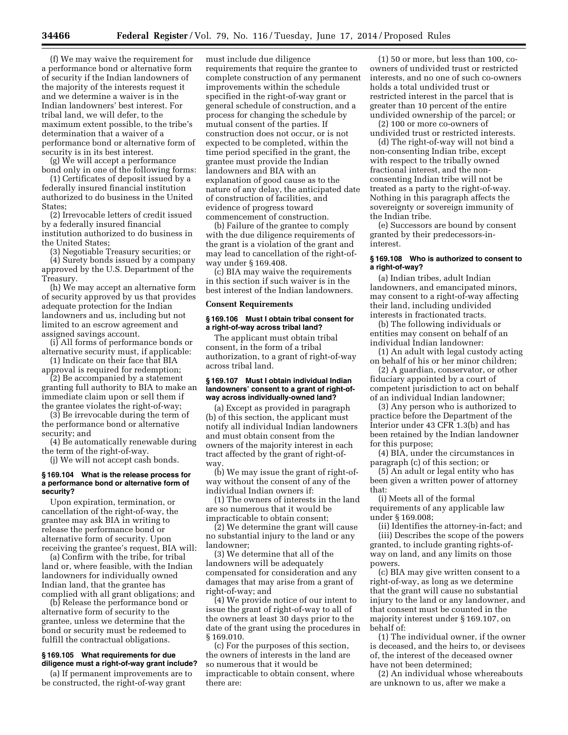(f) We may waive the requirement for a performance bond or alternative form of security if the Indian landowners of the majority of the interests request it and we determine a waiver is in the Indian landowners' best interest. For tribal land, we will defer, to the maximum extent possible, to the tribe's determination that a waiver of a performance bond or alternative form of security is in its best interest.

(g) We will accept a performance bond only in one of the following forms:

(1) Certificates of deposit issued by a federally insured financial institution authorized to do business in the United States;

(2) Irrevocable letters of credit issued by a federally insured financial institution authorized to do business in the United States;

(3) Negotiable Treasury securities; or

(4) Surety bonds issued by a company approved by the U.S. Department of the Treasury.

(h) We may accept an alternative form of security approved by us that provides adequate protection for the Indian landowners and us, including but not limited to an escrow agreement and assigned savings account.

(i) All forms of performance bonds or alternative security must, if applicable:

(1) Indicate on their face that BIA approval is required for redemption;

(2) Be accompanied by a statement granting full authority to BIA to make an immediate claim upon or sell them if the grantee violates the right-of-way;

(3) Be irrevocable during the term of the performance bond or alternative security; and

(4) Be automatically renewable during the term of the right-of-way.

(j) We will not accept cash bonds.

### **§ 169.104 What is the release process for a performance bond or alternative form of security?**

Upon expiration, termination, or cancellation of the right-of-way, the grantee may ask BIA in writing to release the performance bond or alternative form of security. Upon receiving the grantee's request, BIA will:

(a) Confirm with the tribe, for tribal land or, where feasible, with the Indian landowners for individually owned Indian land, that the grantee has complied with all grant obligations; and

(b) Release the performance bond or alternative form of security to the grantee, unless we determine that the bond or security must be redeemed to fulfill the contractual obligations.

#### **§ 169.105 What requirements for due diligence must a right-of-way grant include?**

(a) If permanent improvements are to be constructed, the right-of-way grant

must include due diligence requirements that require the grantee to complete construction of any permanent improvements within the schedule specified in the right-of-way grant or general schedule of construction, and a process for changing the schedule by mutual consent of the parties. If construction does not occur, or is not expected to be completed, within the time period specified in the grant, the grantee must provide the Indian landowners and BIA with an explanation of good cause as to the nature of any delay, the anticipated date of construction of facilities, and evidence of progress toward commencement of construction.

(b) Failure of the grantee to comply with the due diligence requirements of the grant is a violation of the grant and may lead to cancellation of the right-ofway under § 169.408.

(c) BIA may waive the requirements in this section if such waiver is in the best interest of the Indian landowners.

#### **Consent Requirements**

### **§ 169.106 Must I obtain tribal consent for a right-of-way across tribal land?**

The applicant must obtain tribal consent, in the form of a tribal authorization, to a grant of right-of-way across tribal land.

#### **§ 169.107 Must I obtain individual Indian landowners' consent to a grant of right-ofway across individually-owned land?**

(a) Except as provided in paragraph (b) of this section, the applicant must notify all individual Indian landowners and must obtain consent from the owners of the majority interest in each tract affected by the grant of right-ofway.

(b) We may issue the grant of right-ofway without the consent of any of the individual Indian owners if:

(1) The owners of interests in the land are so numerous that it would be impracticable to obtain consent;

(2) We determine the grant will cause no substantial injury to the land or any landowner;

(3) We determine that all of the landowners will be adequately compensated for consideration and any damages that may arise from a grant of right-of-way; and

(4) We provide notice of our intent to issue the grant of right-of-way to all of the owners at least 30 days prior to the date of the grant using the procedures in § 169.010.

(c) For the purposes of this section, the owners of interests in the land are so numerous that it would be impracticable to obtain consent, where there are:

(1) 50 or more, but less than 100, coowners of undivided trust or restricted interests, and no one of such co-owners holds a total undivided trust or restricted interest in the parcel that is greater than 10 percent of the entire undivided ownership of the parcel; or

(2) 100 or more co-owners of undivided trust or restricted interests.

(d) The right-of-way will not bind a non-consenting Indian tribe, except with respect to the tribally owned fractional interest, and the nonconsenting Indian tribe will not be treated as a party to the right-of-way. Nothing in this paragraph affects the sovereignty or sovereign immunity of the Indian tribe.

(e) Successors are bound by consent granted by their predecessors-ininterest.

## **§ 169.108 Who is authorized to consent to a right-of-way?**

(a) Indian tribes, adult Indian landowners, and emancipated minors, may consent to a right-of-way affecting their land, including undivided interests in fractionated tracts.

(b) The following individuals or entities may consent on behalf of an individual Indian landowner:

(1) An adult with legal custody acting on behalf of his or her minor children;

(2) A guardian, conservator, or other fiduciary appointed by a court of competent jurisdiction to act on behalf of an individual Indian landowner;

(3) Any person who is authorized to practice before the Department of the Interior under 43 CFR 1.3(b) and has been retained by the Indian landowner for this purpose;

(4) BIA, under the circumstances in paragraph (c) of this section; or

(5) An adult or legal entity who has been given a written power of attorney that:

(i) Meets all of the formal requirements of any applicable law under § 169.008;

(ii) Identifies the attorney-in-fact; and (iii) Describes the scope of the powers granted, to include granting rights-ofway on land, and any limits on those powers.

(c) BIA may give written consent to a right-of-way, as long as we determine that the grant will cause no substantial injury to the land or any landowner, and that consent must be counted in the majority interest under § 169.107, on behalf of:

(1) The individual owner, if the owner is deceased, and the heirs to, or devisees of, the interest of the deceased owner have not been determined;

(2) An individual whose whereabouts are unknown to us, after we make a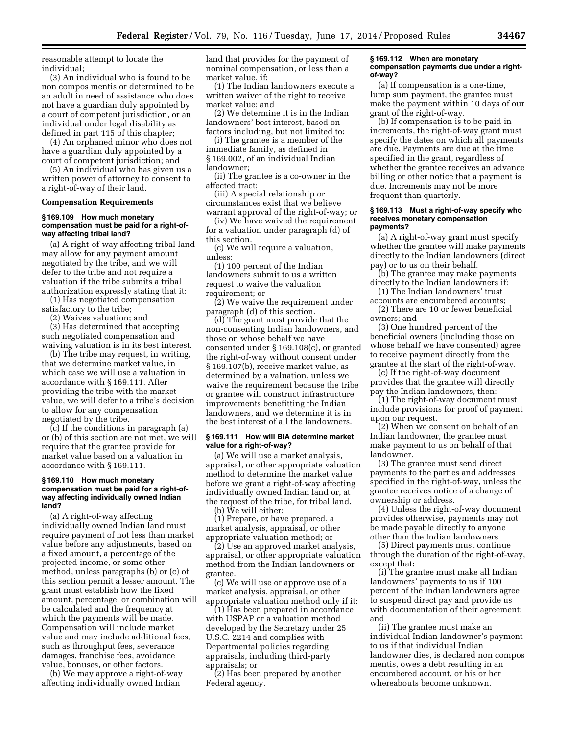reasonable attempt to locate the individual;

(3) An individual who is found to be non compos mentis or determined to be an adult in need of assistance who does not have a guardian duly appointed by a court of competent jurisdiction, or an individual under legal disability as defined in part 115 of this chapter;

(4) An orphaned minor who does not have a guardian duly appointed by a court of competent jurisdiction; and

(5) An individual who has given us a written power of attorney to consent to a right-of-way of their land.

#### **Compensation Requirements**

#### **§ 169.109 How much monetary compensation must be paid for a right-ofway affecting tribal land?**

(a) A right-of-way affecting tribal land may allow for any payment amount negotiated by the tribe, and we will defer to the tribe and not require a valuation if the tribe submits a tribal authorization expressly stating that it:

(1) Has negotiated compensation satisfactory to the tribe;

(2) Waives valuation; and

(3) Has determined that accepting such negotiated compensation and waiving valuation is in its best interest.

(b) The tribe may request, in writing, that we determine market value, in which case we will use a valuation in accordance with § 169.111. After providing the tribe with the market value, we will defer to a tribe's decision to allow for any compensation negotiated by the tribe.

(c) If the conditions in paragraph (a) or (b) of this section are not met, we will require that the grantee provide for market value based on a valuation in accordance with § 169.111.

### **§ 169.110 How much monetary compensation must be paid for a right-ofway affecting individually owned Indian land?**

(a) A right-of-way affecting individually owned Indian land must require payment of not less than market value before any adjustments, based on a fixed amount, a percentage of the projected income, or some other method, unless paragraphs (b) or (c) of this section permit a lesser amount. The grant must establish how the fixed amount, percentage, or combination will be calculated and the frequency at which the payments will be made. Compensation will include market value and may include additional fees, such as throughput fees, severance damages, franchise fees, avoidance value, bonuses, or other factors.

(b) We may approve a right-of-way affecting individually owned Indian

land that provides for the payment of nominal compensation, or less than a market value, if:

(1) The Indian landowners execute a written waiver of the right to receive market value; and

(2) We determine it is in the Indian landowners' best interest, based on factors including, but not limited to:

(i) The grantee is a member of the immediate family, as defined in § 169.002, of an individual Indian landowner;

(ii) The grantee is a co-owner in the affected tract;

(iii) A special relationship or circumstances exist that we believe warrant approval of the right-of-way; or

(iv) We have waived the requirement for a valuation under paragraph (d) of this section.

(c) We will require a valuation, unless:

(1) 100 percent of the Indian landowners submit to us a written request to waive the valuation requirement; or

(2) We waive the requirement under paragraph (d) of this section.

(d) The grant must provide that the non-consenting Indian landowners, and those on whose behalf we have consented under § 169.108(c), or granted the right-of-way without consent under § 169.107(b), receive market value, as determined by a valuation, unless we waive the requirement because the tribe or grantee will construct infrastructure improvements benefitting the Indian landowners, and we determine it is in the best interest of all the landowners.

## **§ 169.111 How will BIA determine market value for a right-of-way?**

(a) We will use a market analysis, appraisal, or other appropriate valuation method to determine the market value before we grant a right-of-way affecting individually owned Indian land or, at the request of the tribe, for tribal land.

(b) We will either:

(1) Prepare, or have prepared, a market analysis, appraisal, or other appropriate valuation method; or

(2) Use an approved market analysis, appraisal, or other appropriate valuation method from the Indian landowners or grantee.

(c) We will use or approve use of a market analysis, appraisal, or other appropriate valuation method only if it:

(1) Has been prepared in accordance with USPAP or a valuation method developed by the Secretary under 25 U.S.C. 2214 and complies with Departmental policies regarding appraisals, including third-party appraisals; or

(2) Has been prepared by another Federal agency.

#### **§ 169.112 When are monetary compensation payments due under a rightof-way?**

(a) If compensation is a one-time, lump sum payment, the grantee must make the payment within 10 days of our grant of the right-of-way.

(b) If compensation is to be paid in increments, the right-of-way grant must specify the dates on which all payments are due. Payments are due at the time specified in the grant, regardless of whether the grantee receives an advance billing or other notice that a payment is due. Increments may not be more frequent than quarterly.

#### **§ 169.113 Must a right-of-way specify who receives monetary compensation payments?**

(a) A right-of-way grant must specify whether the grantee will make payments directly to the Indian landowners (direct pay) or to us on their behalf.

(b) The grantee may make payments directly to the Indian landowners if:

(1) The Indian landowners' trust accounts are encumbered accounts;

(2) There are 10 or fewer beneficial owners; and

(3) One hundred percent of the beneficial owners (including those on whose behalf we have consented) agree to receive payment directly from the grantee at the start of the right-of-way.

(c) If the right-of-way document provides that the grantee will directly pay the Indian landowners, then:

(1) The right-of-way document must include provisions for proof of payment upon our request.

(2) When we consent on behalf of an Indian landowner, the grantee must make payment to us on behalf of that landowner.

(3) The grantee must send direct payments to the parties and addresses specified in the right-of-way, unless the grantee receives notice of a change of ownership or address.

(4) Unless the right-of-way document provides otherwise, payments may not be made payable directly to anyone other than the Indian landowners.

(5) Direct payments must continue through the duration of the right-of-way, except that:

(i) The grantee must make all Indian landowners' payments to us if 100 percent of the Indian landowners agree to suspend direct pay and provide us with documentation of their agreement; and

(ii) The grantee must make an individual Indian landowner's payment to us if that individual Indian landowner dies, is declared non compos mentis, owes a debt resulting in an encumbered account, or his or her whereabouts become unknown.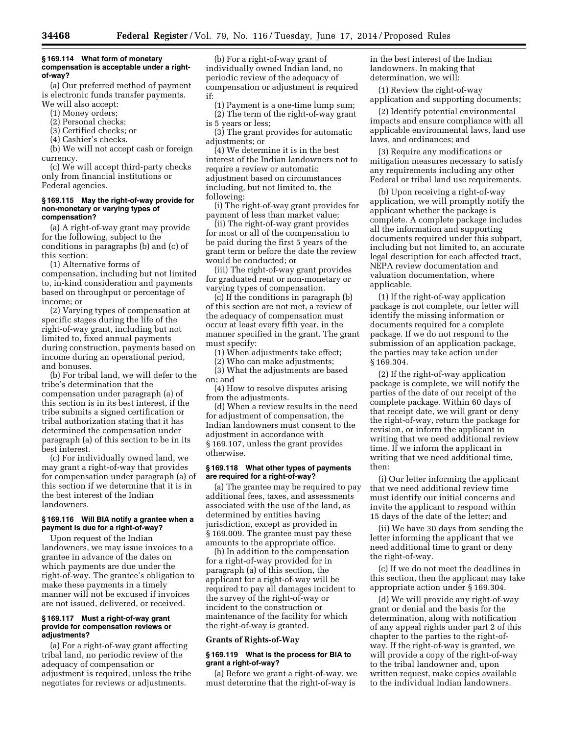#### **§ 169.114 What form of monetary compensation is acceptable under a rightof-way?**

(a) Our preferred method of payment is electronic funds transfer payments. We will also accept:

- (1) Money orders;
- (2) Personal checks;
- (3) Certified checks; or
- (4) Cashier's checks.

(b) We will not accept cash or foreign currency.

(c) We will accept third-party checks only from financial institutions or Federal agencies.

#### **§ 169.115 May the right-of-way provide for non-monetary or varying types of compensation?**

(a) A right-of-way grant may provide for the following, subject to the conditions in paragraphs (b) and (c) of this section:

(1) Alternative forms of compensation, including but not limited to, in-kind consideration and payments based on throughput or percentage of income; or

(2) Varying types of compensation at specific stages during the life of the right-of-way grant, including but not limited to, fixed annual payments during construction, payments based on income during an operational period, and bonuses.

(b) For tribal land, we will defer to the tribe's determination that the compensation under paragraph (a) of this section is in its best interest, if the tribe submits a signed certification or tribal authorization stating that it has determined the compensation under paragraph (a) of this section to be in its best interest.

(c) For individually owned land, we may grant a right-of-way that provides for compensation under paragraph (a) of this section if we determine that it is in the best interest of the Indian landowners.

# **§ 169.116 Will BIA notify a grantee when a payment is due for a right-of-way?**

Upon request of the Indian landowners, we may issue invoices to a grantee in advance of the dates on which payments are due under the right-of-way. The grantee's obligation to make these payments in a timely manner will not be excused if invoices are not issued, delivered, or received.

#### **§ 169.117 Must a right-of-way grant provide for compensation reviews or adjustments?**

(a) For a right-of-way grant affecting tribal land, no periodic review of the adequacy of compensation or adjustment is required, unless the tribe negotiates for reviews or adjustments.

(b) For a right-of-way grant of individually owned Indian land, no periodic review of the adequacy of compensation or adjustment is required if:

(1) Payment is a one-time lump sum; (2) The term of the right-of-way grant is 5 years or less;

(3) The grant provides for automatic adjustments; or

(4) We determine it is in the best interest of the Indian landowners not to require a review or automatic adjustment based on circumstances including, but not limited to, the following:

(i) The right-of-way grant provides for payment of less than market value;

(ii) The right-of-way grant provides for most or all of the compensation to be paid during the first 5 years of the grant term or before the date the review would be conducted; or

(iii) The right-of-way grant provides for graduated rent or non-monetary or varying types of compensation.

(c) If the conditions in paragraph (b) of this section are not met, a review of the adequacy of compensation must occur at least every fifth year, in the manner specified in the grant. The grant must specify:

(1) When adjustments take effect;

(2) Who can make adjustments; (3) What the adjustments are based on; and

(4) How to resolve disputes arising from the adjustments.

(d) When a review results in the need for adjustment of compensation, the Indian landowners must consent to the adjustment in accordance with § 169.107, unless the grant provides otherwise.

### **§ 169.118 What other types of payments are required for a right-of-way?**

(a) The grantee may be required to pay additional fees, taxes, and assessments associated with the use of the land, as determined by entities having jurisdiction, except as provided in § 169.009. The grantee must pay these amounts to the appropriate office.

(b) In addition to the compensation for a right-of-way provided for in paragraph (a) of this section, the applicant for a right-of-way will be required to pay all damages incident to the survey of the right-of-way or incident to the construction or maintenance of the facility for which the right-of-way is granted.

### **Grants of Rights-of-Way**

### **§ 169.119 What is the process for BIA to grant a right-of-way?**

(a) Before we grant a right-of-way, we must determine that the right-of-way is

in the best interest of the Indian landowners. In making that determination, we will:

(1) Review the right-of-way application and supporting documents;

(2) Identify potential environmental impacts and ensure compliance with all applicable environmental laws, land use laws, and ordinances; and

(3) Require any modifications or mitigation measures necessary to satisfy any requirements including any other Federal or tribal land use requirements.

(b) Upon receiving a right-of-way application, we will promptly notify the applicant whether the package is complete. A complete package includes all the information and supporting documents required under this subpart, including but not limited to, an accurate legal description for each affected tract, NEPA review documentation and valuation documentation, where applicable.

(1) If the right-of-way application package is not complete, our letter will identify the missing information or documents required for a complete package. If we do not respond to the submission of an application package, the parties may take action under § 169.304.

(2) If the right-of-way application package is complete, we will notify the parties of the date of our receipt of the complete package. Within 60 days of that receipt date, we will grant or deny the right-of-way, return the package for revision, or inform the applicant in writing that we need additional review time. If we inform the applicant in writing that we need additional time, then:

(i) Our letter informing the applicant that we need additional review time must identify our initial concerns and invite the applicant to respond within 15 days of the date of the letter; and

(ii) We have 30 days from sending the letter informing the applicant that we need additional time to grant or deny the right-of-way.

(c) If we do not meet the deadlines in this section, then the applicant may take appropriate action under § 169.304.

(d) We will provide any right-of-way grant or denial and the basis for the determination, along with notification of any appeal rights under part 2 of this chapter to the parties to the right-ofway. If the right-of-way is granted, we will provide a copy of the right-of-way to the tribal landowner and, upon written request, make copies available to the individual Indian landowners.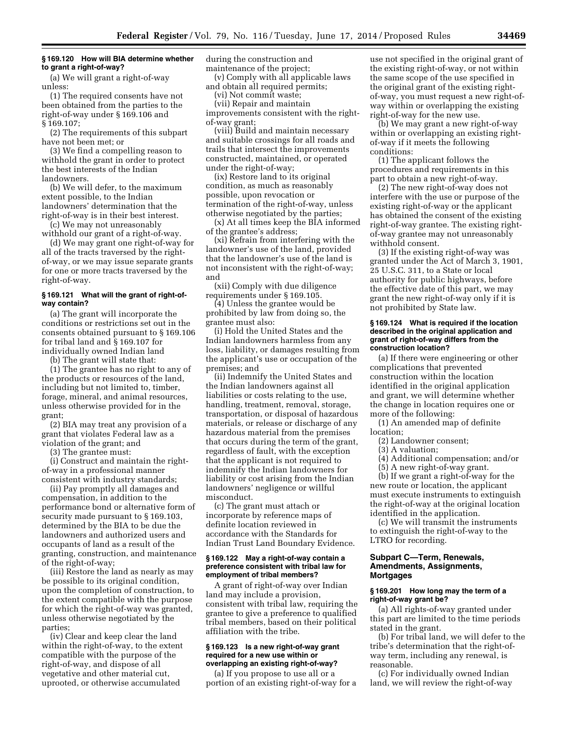# **§ 169.120 How will BIA determine whether to grant a right-of-way?**

(a) We will grant a right-of-way unless:

(1) The required consents have not been obtained from the parties to the right-of-way under § 169.106 and § 169.107;

(2) The requirements of this subpart have not been met; or

(3) We find a compelling reason to withhold the grant in order to protect the best interests of the Indian landowners.

(b) We will defer, to the maximum extent possible, to the Indian landowners' determination that the right-of-way is in their best interest.

(c) We may not unreasonably withhold our grant of a right-of-way.

(d) We may grant one right-of-way for all of the tracts traversed by the rightof-way, or we may issue separate grants for one or more tracts traversed by the right-of-way.

### **§ 169.121 What will the grant of right-ofway contain?**

(a) The grant will incorporate the conditions or restrictions set out in the consents obtained pursuant to § 169.106 for tribal land and § 169.107 for individually owned Indian land

(b) The grant will state that:

(1) The grantee has no right to any of the products or resources of the land, including but not limited to, timber, forage, mineral, and animal resources, unless otherwise provided for in the grant;

(2) BIA may treat any provision of a grant that violates Federal law as a violation of the grant; and

(3) The grantee must:

(i) Construct and maintain the rightof-way in a professional manner consistent with industry standards;

(ii) Pay promptly all damages and compensation, in addition to the performance bond or alternative form of security made pursuant to § 169.103, determined by the BIA to be due the landowners and authorized users and occupants of land as a result of the granting, construction, and maintenance of the right-of-way;

(iii) Restore the land as nearly as may be possible to its original condition, upon the completion of construction, to the extent compatible with the purpose for which the right-of-way was granted, unless otherwise negotiated by the parties;

(iv) Clear and keep clear the land within the right-of-way, to the extent compatible with the purpose of the right-of-way, and dispose of all vegetative and other material cut, uprooted, or otherwise accumulated

during the construction and maintenance of the project;

(v) Comply with all applicable laws and obtain all required permits;

(vi) Not commit waste;

(vii) Repair and maintain improvements consistent with the rightof-way grant;

(viii) Build and maintain necessary and suitable crossings for all roads and trails that intersect the improvements constructed, maintained, or operated under the right-of-way;

(ix) Restore land to its original condition, as much as reasonably possible, upon revocation or termination of the right-of-way, unless otherwise negotiated by the parties;

(x) At all times keep the BIA informed of the grantee's address;

(xi) Refrain from interfering with the landowner's use of the land, provided that the landowner's use of the land is not inconsistent with the right-of-way; and

(xii) Comply with due diligence requirements under § 169.105.

(4) Unless the grantee would be prohibited by law from doing so, the grantee must also:

(i) Hold the United States and the Indian landowners harmless from any loss, liability, or damages resulting from the applicant's use or occupation of the premises; and

(ii) Indemnify the United States and the Indian landowners against all liabilities or costs relating to the use, handling, treatment, removal, storage, transportation, or disposal of hazardous materials, or release or discharge of any hazardous material from the premises that occurs during the term of the grant, regardless of fault, with the exception that the applicant is not required to indemnify the Indian landowners for liability or cost arising from the Indian landowners' negligence or willful misconduct.

(c) The grant must attach or incorporate by reference maps of definite location reviewed in accordance with the Standards for Indian Trust Land Boundary Evidence.

#### **§ 169.122 May a right-of-way contain a preference consistent with tribal law for employment of tribal members?**

A grant of right-of-way over Indian land may include a provision, consistent with tribal law, requiring the grantee to give a preference to qualified tribal members, based on their political affiliation with the tribe.

#### **§ 169.123 Is a new right-of-way grant required for a new use within or overlapping an existing right-of-way?**

(a) If you propose to use all or a portion of an existing right-of-way for a use not specified in the original grant of the existing right-of-way, or not within the same scope of the use specified in the original grant of the existing rightof-way, you must request a new right-ofway within or overlapping the existing right-of-way for the new use.

(b) We may grant a new right-of-way within or overlapping an existing rightof-way if it meets the following conditions:

(1) The applicant follows the procedures and requirements in this part to obtain a new right-of-way.

(2) The new right-of-way does not interfere with the use or purpose of the existing right-of-way or the applicant has obtained the consent of the existing right-of-way grantee. The existing rightof-way grantee may not unreasonably withhold consent.

(3) If the existing right-of-way was granted under the Act of March 3, 1901, 25 U.S.C. 311, to a State or local authority for public highways, before the effective date of this part, we may grant the new right-of-way only if it is not prohibited by State law.

### **§ 169.124 What is required if the location described in the original application and grant of right-of-way differs from the construction location?**

(a) If there were engineering or other complications that prevented construction within the location identified in the original application and grant, we will determine whether the change in location requires one or more of the following:

(1) An amended map of definite location;

- (2) Landowner consent;
- (3) A valuation;
- (4) Additional compensation; and/or
- (5) A new right-of-way grant.

(b) If we grant a right-of-way for the new route or location, the applicant must execute instruments to extinguish the right-of-way at the original location identified in the application.

(c) We will transmit the instruments to extinguish the right-of-way to the LTRO for recording.

## **Subpart C—Term, Renewals, Amendments, Assignments, Mortgages**

# **§ 169.201 How long may the term of a right-of-way grant be?**

(a) All rights-of-way granted under this part are limited to the time periods stated in the grant.

(b) For tribal land, we will defer to the tribe's determination that the right-ofway term, including any renewal, is reasonable.

(c) For individually owned Indian land, we will review the right-of-way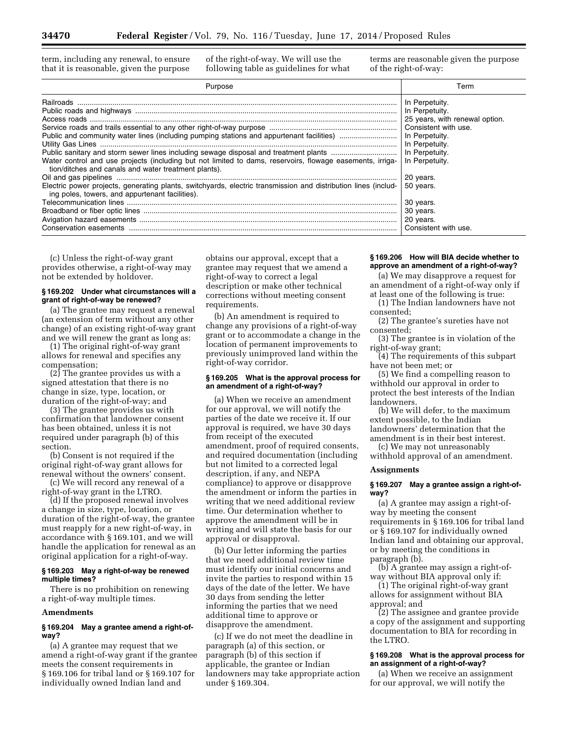term, including any renewal, to ensure that it is reasonable, given the purpose

of the right-of-way. We will use the following table as guidelines for what terms are reasonable given the purpose of the right-of-way:

| Purpose                                                                                                                                                                                     | Term                                                                                  |
|---------------------------------------------------------------------------------------------------------------------------------------------------------------------------------------------|---------------------------------------------------------------------------------------|
| Water control and use projects (including but not limited to dams, reservoirs, flowage easements, irriga- In Perpetuity.<br>tion/ditches and canals and water treatment plants).            | In Perpetuity.<br>In Perpetuity.<br>25 years, with renewal option.<br>In Perpetuity.  |
| Electric power projects, generating plants, switchyards, electric transmission and distribution lines (includ-<br>ing poles, towers, and appurtenant facilities).<br>Conservation easements | 20 years.<br>50 years.<br>30 years.<br>30 years.<br>20 years.<br>Consistent with use. |

(c) Unless the right-of-way grant provides otherwise, a right-of-way may not be extended by holdover.

## **§ 169.202 Under what circumstances will a grant of right-of-way be renewed?**

(a) The grantee may request a renewal (an extension of term without any other change) of an existing right-of-way grant and we will renew the grant as long as:

(1) The original right-of-way grant allows for renewal and specifies any compensation;

(2) The grantee provides us with a signed attestation that there is no change in size, type, location, or duration of the right-of-way; and

(3) The grantee provides us with confirmation that landowner consent has been obtained, unless it is not required under paragraph (b) of this section.

(b) Consent is not required if the original right-of-way grant allows for renewal without the owners' consent.

(c) We will record any renewal of a right-of-way grant in the LTRO.

(d) If the proposed renewal involves a change in size, type, location, or duration of the right-of-way, the grantee must reapply for a new right-of-way, in accordance with § 169.101, and we will handle the application for renewal as an original application for a right-of-way.

### **§ 169.203 May a right-of-way be renewed multiple times?**

There is no prohibition on renewing a right-of-way multiple times.

## **Amendments**

### **§ 169.204 May a grantee amend a right-ofway?**

(a) A grantee may request that we amend a right-of-way grant if the grantee meets the consent requirements in § 169.106 for tribal land or § 169.107 for individually owned Indian land and

obtains our approval, except that a grantee may request that we amend a right-of-way to correct a legal description or make other technical corrections without meeting consent requirements.

(b) An amendment is required to change any provisions of a right-of-way grant or to accommodate a change in the location of permanent improvements to previously unimproved land within the right-of-way corridor.

#### **§ 169.205 What is the approval process for an amendment of a right-of-way?**

(a) When we receive an amendment for our approval, we will notify the parties of the date we receive it. If our approval is required, we have 30 days from receipt of the executed amendment, proof of required consents, and required documentation (including but not limited to a corrected legal description, if any, and NEPA compliance) to approve or disapprove the amendment or inform the parties in writing that we need additional review time. Our determination whether to approve the amendment will be in writing and will state the basis for our approval or disapproval.

(b) Our letter informing the parties that we need additional review time must identify our initial concerns and invite the parties to respond within 15 days of the date of the letter. We have 30 days from sending the letter informing the parties that we need additional time to approve or disapprove the amendment.

(c) If we do not meet the deadline in paragraph (a) of this section, or paragraph (b) of this section if applicable, the grantee or Indian landowners may take appropriate action under § 169.304.

#### **§ 169.206 How will BIA decide whether to approve an amendment of a right-of-way?**

(a) We may disapprove a request for an amendment of a right-of-way only if at least one of the following is true:

(1) The Indian landowners have not consented;

(2) The grantee's sureties have not consented;

(3) The grantee is in violation of the right-of-way grant;

(4) The requirements of this subpart have not been met; or

(5) We find a compelling reason to withhold our approval in order to protect the best interests of the Indian landowners.

(b) We will defer, to the maximum extent possible, to the Indian landowners' determination that the amendment is in their best interest.

(c) We may not unreasonably withhold approval of an amendment.

#### **Assignments**

### **§ 169.207 May a grantee assign a right-ofway?**

(a) A grantee may assign a right-ofway by meeting the consent requirements in § 169.106 for tribal land or § 169.107 for individually owned Indian land and obtaining our approval, or by meeting the conditions in paragraph (b).

(b) A grantee may assign a right-ofway without BIA approval only if:

(1) The original right-of-way grant allows for assignment without BIA approval; and

(2) The assignee and grantee provide a copy of the assignment and supporting documentation to BIA for recording in the LTRO.

# **§ 169.208 What is the approval process for an assignment of a right-of-way?**

(a) When we receive an assignment for our approval, we will notify the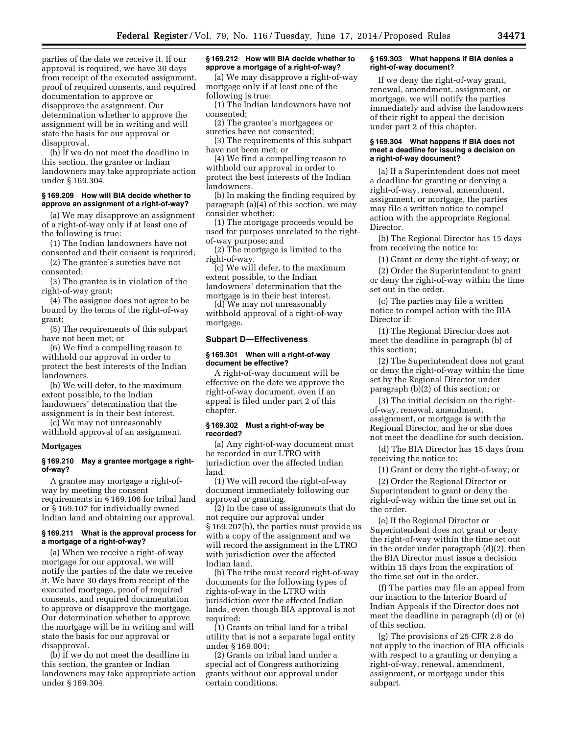parties of the date we receive it. If our approval is required, we have 30 days from receipt of the executed assignment, proof of required consents, and required documentation to approve or disapprove the assignment. Our determination whether to approve the assignment will be in writing and will state the basis for our approval or disapproval.

(b) If we do not meet the deadline in this section, the grantee or Indian landowners may take appropriate action under § 169.304.

### **§ 169.209 How will BIA decide whether to approve an assignment of a right-of-way?**

(a) We may disapprove an assignment of a right-of-way only if at least one of the following is true:

(1) The Indian landowners have not consented and their consent is required;

(2) The grantee's sureties have not consented;

(3) The grantee is in violation of the right-of-way grant;

(4) The assignee does not agree to be bound by the terms of the right-of-way grant;

(5) The requirements of this subpart have not been met; or

(6) We find a compelling reason to withhold our approval in order to protect the best interests of the Indian landowners.

(b) We will defer, to the maximum extent possible, to the Indian landowners' determination that the assignment is in their best interest.

(c) We may not unreasonably withhold approval of an assignment.

#### **Mortgages**

## **§ 169.210 May a grantee mortgage a rightof-way?**

A grantee may mortgage a right-ofway by meeting the consent requirements in § 169.106 for tribal land or § 169.107 for individually owned Indian land and obtaining our approval.

#### **§ 169.211 What is the approval process for a mortgage of a right-of-way?**

(a) When we receive a right-of-way mortgage for our approval, we will notify the parties of the date we receive it. We have 30 days from receipt of the executed mortgage, proof of required consents, and required documentation to approve or disapprove the mortgage. Our determination whether to approve the mortgage will be in writing and will state the basis for our approval or disapproval.

(b) If we do not meet the deadline in this section, the grantee or Indian landowners may take appropriate action under § 169.304.

### **§ 169.212 How will BIA decide whether to approve a mortgage of a right-of-way?**

(a) We may disapprove a right-of-way mortgage only if at least one of the following is true:

(1) The Indian landowners have not consented;

(2) The grantee's mortgagees or

sureties have not consented; (3) The requirements of this subpart

have not been met; or (4) We find a compelling reason to

withhold our approval in order to protect the best interests of the Indian landowners.

(b) In making the finding required by paragraph (a)(4) of this section, we may consider whether:

(1) The mortgage proceeds would be used for purposes unrelated to the rightof-way purpose; and

(2) The mortgage is limited to the right-of-way.

(c) We will defer, to the maximum extent possible, to the Indian landowners' determination that the mortgage is in their best interest.

(d) We may not unreasonably withhold approval of a right-of-way mortgage.

### **Subpart D—Effectiveness**

### **§ 169.301 When will a right-of-way document be effective?**

A right-of-way document will be effective on the date we approve the right-of-way document, even if an appeal is filed under part 2 of this chapter.

### **§ 169.302 Must a right-of-way be recorded?**

(a) Any right-of-way document must be recorded in our LTRO with jurisdiction over the affected Indian land.

(1) We will record the right-of-way document immediately following our approval or granting.

(2) In the case of assignments that do not require our approval under § 169.207(b), the parties must provide us with a copy of the assignment and we will record the assignment in the LTRO with jurisdiction over the affected Indian land.

(b) The tribe must record right-of-way documents for the following types of rights-of-way in the LTRO with jurisdiction over the affected Indian lands, even though BIA approval is not required:

(1) Grants on tribal land for a tribal utility that is not a separate legal entity under § 169.004;

(2) Grants on tribal land under a special act of Congress authorizing grants without our approval under certain conditions.

### **§ 169.303 What happens if BIA denies a right-of-way document?**

If we deny the right-of-way grant, renewal, amendment, assignment, or mortgage, we will notify the parties immediately and advise the landowners of their right to appeal the decision under part 2 of this chapter.

### **§ 169.304 What happens if BIA does not meet a deadline for issuing a decision on a right-of-way document?**

(a) If a Superintendent does not meet a deadline for granting or denying a right-of-way, renewal, amendment, assignment, or mortgage, the parties may file a written notice to compel action with the appropriate Regional Director.

(b) The Regional Director has 15 days from receiving the notice to:

(1) Grant or deny the right-of-way; or

(2) Order the Superintendent to grant or deny the right-of-way within the time set out in the order.

(c) The parties may file a written notice to compel action with the BIA Director if:

(1) The Regional Director does not meet the deadline in paragraph (b) of this section;

(2) The Superintendent does not grant or deny the right-of-way within the time set by the Regional Director under paragraph (b)(2) of this section; or

(3) The initial decision on the rightof-way, renewal, amendment, assignment, or mortgage is with the Regional Director, and he or she does not meet the deadline for such decision.

(d) The BIA Director has 15 days from receiving the notice to:

(1) Grant or deny the right-of-way; or

(2) Order the Regional Director or Superintendent to grant or deny the right-of-way within the time set out in the order.

(e) If the Regional Director or Superintendent does not grant or deny the right-of-way within the time set out in the order under paragraph (d)(2), then the BIA Director must issue a decision within 15 days from the expiration of the time set out in the order.

(f) The parties may file an appeal from our inaction to the Interior Board of Indian Appeals if the Director does not meet the deadline in paragraph (d) or (e) of this section.

(g) The provisions of 25 CFR 2.8 do not apply to the inaction of BIA officials with respect to a granting or denying a right-of-way, renewal, amendment, assignment, or mortgage under this subpart.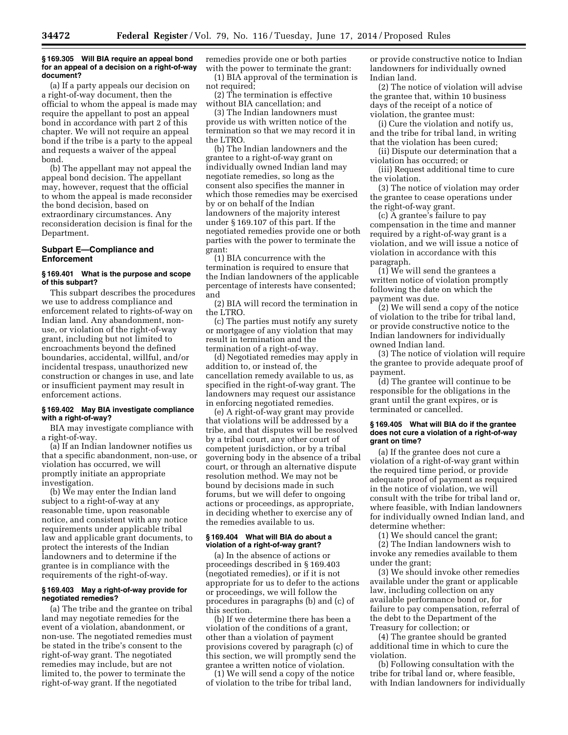### **§ 169.305 Will BIA require an appeal bond for an appeal of a decision on a right-of-way document?**

(a) If a party appeals our decision on a right-of-way document, then the official to whom the appeal is made may require the appellant to post an appeal bond in accordance with part 2 of this chapter. We will not require an appeal bond if the tribe is a party to the appeal and requests a waiver of the appeal bond.

(b) The appellant may not appeal the appeal bond decision. The appellant may, however, request that the official to whom the appeal is made reconsider the bond decision, based on extraordinary circumstances. Any reconsideration decision is final for the Department.

## **Subpart E—Compliance and Enforcement**

### **§ 169.401 What is the purpose and scope of this subpart?**

This subpart describes the procedures we use to address compliance and enforcement related to rights-of-way on Indian land. Any abandonment, nonuse, or violation of the right-of-way grant, including but not limited to encroachments beyond the defined boundaries, accidental, willful, and/or incidental trespass, unauthorized new construction or changes in use, and late or insufficient payment may result in enforcement actions.

### **§ 169.402 May BIA investigate compliance with a right-of-way?**

BIA may investigate compliance with a right-of-way.

(a) If an Indian landowner notifies us that a specific abandonment, non-use, or violation has occurred, we will promptly initiate an appropriate investigation.

(b) We may enter the Indian land subject to a right-of-way at any reasonable time, upon reasonable notice, and consistent with any notice requirements under applicable tribal law and applicable grant documents, to protect the interests of the Indian landowners and to determine if the grantee is in compliance with the requirements of the right-of-way.

### **§ 169.403 May a right-of-way provide for negotiated remedies?**

(a) The tribe and the grantee on tribal land may negotiate remedies for the event of a violation, abandonment, or non-use. The negotiated remedies must be stated in the tribe's consent to the right-of-way grant. The negotiated remedies may include, but are not limited to, the power to terminate the right-of-way grant. If the negotiated

remedies provide one or both parties with the power to terminate the grant:

(1) BIA approval of the termination is not required;

(2) The termination is effective without BIA cancellation; and

(3) The Indian landowners must provide us with written notice of the termination so that we may record it in the LTRO.

(b) The Indian landowners and the grantee to a right-of-way grant on individually owned Indian land may negotiate remedies, so long as the consent also specifies the manner in which those remedies may be exercised by or on behalf of the Indian landowners of the majority interest under § 169.107 of this part. If the negotiated remedies provide one or both parties with the power to terminate the grant:

(1) BIA concurrence with the termination is required to ensure that the Indian landowners of the applicable percentage of interests have consented; and

(2) BIA will record the termination in the LTRO.

(c) The parties must notify any surety or mortgagee of any violation that may result in termination and the termination of a right-of-way.

(d) Negotiated remedies may apply in addition to, or instead of, the cancellation remedy available to us, as specified in the right-of-way grant. The landowners may request our assistance in enforcing negotiated remedies.

(e) A right-of-way grant may provide that violations will be addressed by a tribe, and that disputes will be resolved by a tribal court, any other court of competent jurisdiction, or by a tribal governing body in the absence of a tribal court, or through an alternative dispute resolution method. We may not be bound by decisions made in such forums, but we will defer to ongoing actions or proceedings, as appropriate, in deciding whether to exercise any of the remedies available to us.

## **§ 169.404 What will BIA do about a violation of a right-of-way grant?**

(a) In the absence of actions or proceedings described in § 169.403 (negotiated remedies), or if it is not appropriate for us to defer to the actions or proceedings, we will follow the procedures in paragraphs (b) and (c) of this section.

(b) If we determine there has been a violation of the conditions of a grant, other than a violation of payment provisions covered by paragraph (c) of this section, we will promptly send the grantee a written notice of violation.

(1) We will send a copy of the notice of violation to the tribe for tribal land,

or provide constructive notice to Indian landowners for individually owned Indian land.

(2) The notice of violation will advise the grantee that, within 10 business days of the receipt of a notice of violation, the grantee must:

(i) Cure the violation and notify us, and the tribe for tribal land, in writing that the violation has been cured;

(ii) Dispute our determination that a violation has occurred; or

(iii) Request additional time to cure the violation.

(3) The notice of violation may order the grantee to cease operations under the right-of-way grant.

(c) A grantee's failure to pay compensation in the time and manner required by a right-of-way grant is a violation, and we will issue a notice of violation in accordance with this paragraph.

(1) We will send the grantees a written notice of violation promptly following the date on which the payment was due.

(2) We will send a copy of the notice of violation to the tribe for tribal land, or provide constructive notice to the Indian landowners for individually owned Indian land.

(3) The notice of violation will require the grantee to provide adequate proof of payment.

(d) The grantee will continue to be responsible for the obligations in the grant until the grant expires, or is terminated or cancelled.

### **§ 169.405 What will BIA do if the grantee does not cure a violation of a right-of-way grant on time?**

(a) If the grantee does not cure a violation of a right-of-way grant within the required time period, or provide adequate proof of payment as required in the notice of violation, we will consult with the tribe for tribal land or, where feasible, with Indian landowners for individually owned Indian land, and determine whether:

(1) We should cancel the grant;

(2) The Indian landowners wish to invoke any remedies available to them under the grant;

(3) We should invoke other remedies available under the grant or applicable law, including collection on any available performance bond or, for failure to pay compensation, referral of the debt to the Department of the Treasury for collection; or

(4) The grantee should be granted additional time in which to cure the violation.

(b) Following consultation with the tribe for tribal land or, where feasible, with Indian landowners for individually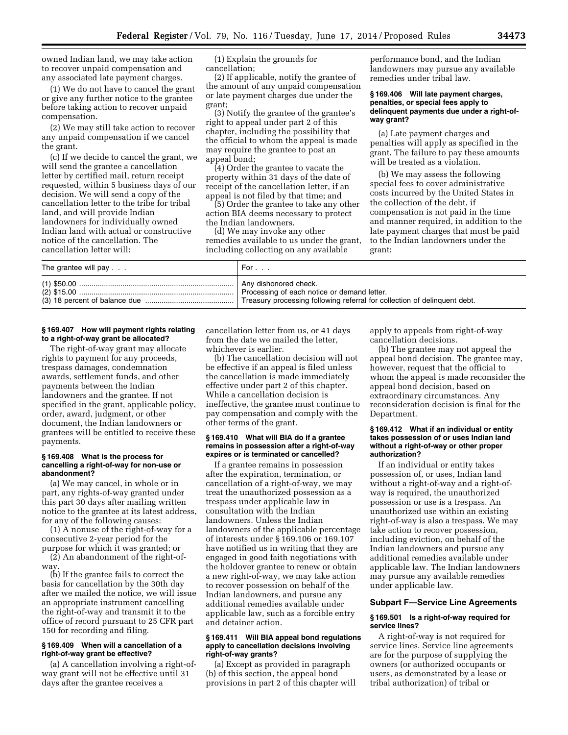owned Indian land, we may take action to recover unpaid compensation and any associated late payment charges.

(1) We do not have to cancel the grant or give any further notice to the grantee before taking action to recover unpaid compensation.

(2) We may still take action to recover any unpaid compensation if we cancel the grant.

(c) If we decide to cancel the grant, we will send the grantee a cancellation letter by certified mail, return receipt requested, within 5 business days of our decision. We will send a copy of the cancellation letter to the tribe for tribal land, and will provide Indian landowners for individually owned Indian land with actual or constructive notice of the cancellation. The cancellation letter will:

(1) Explain the grounds for cancellation;

(2) If applicable, notify the grantee of the amount of any unpaid compensation or late payment charges due under the grant;

(3) Notify the grantee of the grantee's right to appeal under part 2 of this chapter, including the possibility that the official to whom the appeal is made may require the grantee to post an appeal bond;

(4) Order the grantee to vacate the property within 31 days of the date of receipt of the cancellation letter, if an appeal is not filed by that time; and

(5) Order the grantee to take any other action BIA deems necessary to protect the Indian landowners.

(d) We may invoke any other remedies available to us under the grant, including collecting on any available

performance bond, and the Indian landowners may pursue any available remedies under tribal law.

### **§ 169.406 Will late payment charges, penalties, or special fees apply to delinquent payments due under a right-ofway grant?**

(a) Late payment charges and penalties will apply as specified in the grant. The failure to pay these amounts will be treated as a violation.

(b) We may assess the following special fees to cover administrative costs incurred by the United States in the collection of the debt, if compensation is not paid in the time and manner required, in addition to the late payment charges that must be paid to the Indian landowners under the grant:

| The grantee will pay $\ldots$ | For                                                                  |
|-------------------------------|----------------------------------------------------------------------|
|                               | Any dishonored check.<br>Processing of each notice or demand letter. |

## **§ 169.407 How will payment rights relating to a right-of-way grant be allocated?**

The right-of-way grant may allocate rights to payment for any proceeds, trespass damages, condemnation awards, settlement funds, and other payments between the Indian landowners and the grantee. If not specified in the grant, applicable policy, order, award, judgment, or other document, the Indian landowners or grantees will be entitled to receive these payments.

### **§ 169.408 What is the process for cancelling a right-of-way for non-use or abandonment?**

(a) We may cancel, in whole or in part, any rights-of-way granted under this part 30 days after mailing written notice to the grantee at its latest address, for any of the following causes:

(1) A nonuse of the right-of-way for a consecutive 2-year period for the purpose for which it was granted; or

(2) An abandonment of the right-ofway.

(b) If the grantee fails to correct the basis for cancellation by the 30th day after we mailed the notice, we will issue an appropriate instrument cancelling the right-of-way and transmit it to the office of record pursuant to 25 CFR part 150 for recording and filing.

## **§ 169.409 When will a cancellation of a right-of-way grant be effective?**

(a) A cancellation involving a right-ofway grant will not be effective until 31 days after the grantee receives a

cancellation letter from us, or 41 days from the date we mailed the letter, whichever is earlier.

(b) The cancellation decision will not be effective if an appeal is filed unless the cancellation is made immediately effective under part 2 of this chapter. While a cancellation decision is ineffective, the grantee must continue to pay compensation and comply with the other terms of the grant.

### **§ 169.410 What will BIA do if a grantee remains in possession after a right-of-way expires or is terminated or cancelled?**

If a grantee remains in possession after the expiration, termination, or cancellation of a right-of-way, we may treat the unauthorized possession as a trespass under applicable law in consultation with the Indian landowners. Unless the Indian landowners of the applicable percentage of interests under § 169.106 or 169.107 have notified us in writing that they are engaged in good faith negotiations with the holdover grantee to renew or obtain a new right-of-way, we may take action to recover possession on behalf of the Indian landowners, and pursue any additional remedies available under applicable law, such as a forcible entry and detainer action.

### **§ 169.411 Will BIA appeal bond regulations apply to cancellation decisions involving right-of-way grants?**

(a) Except as provided in paragraph (b) of this section, the appeal bond provisions in part 2 of this chapter will apply to appeals from right-of-way cancellation decisions.

(b) The grantee may not appeal the appeal bond decision. The grantee may, however, request that the official to whom the appeal is made reconsider the appeal bond decision, based on extraordinary circumstances. Any reconsideration decision is final for the Department.

### **§ 169.412 What if an individual or entity takes possession of or uses Indian land without a right-of-way or other proper authorization?**

If an individual or entity takes possession of, or uses, Indian land without a right-of-way and a right-ofway is required, the unauthorized possession or use is a trespass. An unauthorized use within an existing right-of-way is also a trespass. We may take action to recover possession, including eviction, on behalf of the Indian landowners and pursue any additional remedies available under applicable law. The Indian landowners may pursue any available remedies under applicable law.

### **Subpart F—Service Line Agreements**

### **§ 169.501 Is a right-of-way required for service lines?**

A right-of-way is not required for service lines. Service line agreements are for the purpose of supplying the owners (or authorized occupants or users, as demonstrated by a lease or tribal authorization) of tribal or